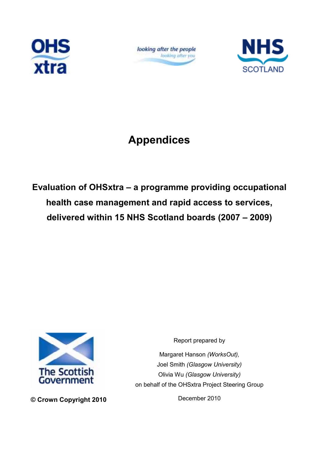

looking after the people looking after you



# Appendices

Evaluation of OHSxtra – a programme providing occupational health case management and rapid access to services, delivered within 15 NHS Scotland boards (2007 – 2009)



© Crown Copyright 2010

Report prepared by

Margaret Hanson (WorksOut), Joel Smith (Glasgow University) Olivia Wu (Glasgow University) on behalf of the OHSxtra Project Steering Group

December 2010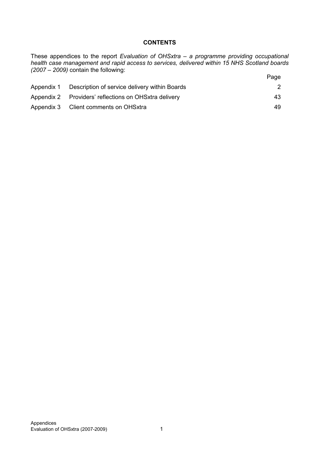### **CONTENTS**

These appendices to the report Evaluation of OHSxtra - a programme providing occupational health case management and rapid access to services, delivered within 15 NHS Scotland boards (2007 – 2009) contain the following:

|            |                                                       | Page |
|------------|-------------------------------------------------------|------|
| Appendix 1 | Description of service delivery within Boards         |      |
|            | Appendix 2 Providers' reflections on OHSxtra delivery | 43   |
|            | Appendix 3 Client comments on OHSxtra                 | 49   |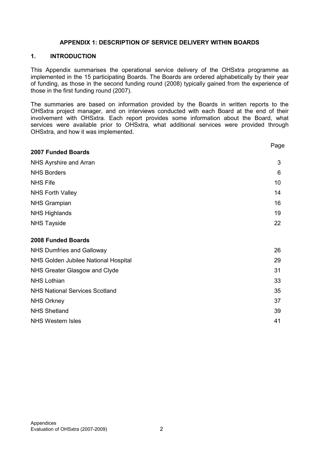#### APPENDIX 1: DESCRIPTION OF SERVICE DELIVERY WITHIN BOARDS

#### 1. INTRODUCTION

This Appendix summarises the operational service delivery of the OHSxtra programme as implemented in the 15 participating Boards. The Boards are ordered alphabetically by their year of funding, as those in the second funding round (2008) typically gained from the experience of those in the first funding round (2007).

The summaries are based on information provided by the Boards in written reports to the OHSxtra project manager, and on interviews conducted with each Board at the end of their involvement with OHSxtra. Each report provides some information about the Board, what services were available prior to OHSxtra, what additional services were provided through OHSxtra, and how it was implemented.

|                                       | Page |
|---------------------------------------|------|
| <b>2007 Funded Boards</b>             |      |
| NHS Ayrshire and Arran                | 3    |
| <b>NHS Borders</b>                    | 6    |
| <b>NHS Fife</b>                       | 10   |
| <b>NHS Forth Valley</b>               | 14   |
| <b>NHS Grampian</b>                   | 16   |
| <b>NHS Highlands</b>                  | 19   |
| <b>NHS Tayside</b>                    | 22   |
| 2008 Funded Boards                    |      |
| <b>NHS Dumfries and Galloway</b>      | 26   |
| NHS Golden Jubilee National Hospital  | 29   |
| NHS Greater Glasgow and Clyde         | 31   |
| <b>NHS Lothian</b>                    | 33   |
| <b>NHS National Services Scotland</b> | 35   |
| <b>NHS Orkney</b>                     | 37   |
| <b>NHS Shetland</b>                   | 39   |
| <b>NHS Western Isles</b>              | 41   |
|                                       |      |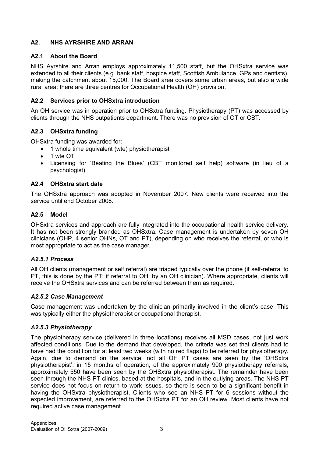### A2. NHS AYRSHIRE AND ARRAN

### A2.1 About the Board

NHS Ayrshire and Arran employs approximately 11,500 staff, but the OHSxtra service was extended to all their clients (e.g. bank staff, hospice staff, Scottish Ambulance, GPs and dentists), making the catchment about 15,000. The Board area covers some urban areas, but also a wide rural area; there are three centres for Occupational Health (OH) provision.

#### A2.2 Services prior to OHSxtra introduction

An OH service was in operation prior to OHSxtra funding. Physiotherapy (PT) was accessed by clients through the NHS outpatients department. There was no provision of OT or CBT.

#### A2.3 OHSxtra funding

OHSxtra funding was awarded for:

- 1 whole time equivalent (wte) physiotherapist
- 1 wte OT
- Licensing for 'Beating the Blues' (CBT monitored self help) software (in lieu of a psychologist).

#### A2.4 OHSxtra start date

The OHSxtra approach was adopted in November 2007. New clients were received into the service until end October 2008.

#### A2.5 Model

OHSxtra services and approach are fully integrated into the occupational health service delivery. It has not been strongly branded as OHSxtra. Case management is undertaken by seven OH clinicians (OHP, 4 senior OHNs, OT and PT), depending on who receives the referral, or who is most appropriate to act as the case manager.

#### A2.5.1 Process

All OH clients (management or self referral) are triaged typically over the phone (if self-referral to PT, this is done by the PT; if referral to OH, by an OH clinician). Where appropriate, clients will receive the OHSxtra services and can be referred between them as required.

#### A2.5.2 Case Management

Case management was undertaken by the clinician primarily involved in the client's case. This was typically either the physiotherapist or occupational therapist.

#### A2.5.3 Physiotherapy

The physiotherapy service (delivered in three locations) receives all MSD cases, not just work affected conditions. Due to the demand that developed, the criteria was set that clients had to have had the condition for at least two weeks (with no red flags) to be referred for physiotherapy. Again, due to demand on the service, not all OH PT cases are seen by the 'OHSxtra physiotherapist'; in 15 months of operation, of the approximately 900 physiotherapy referrals, approximately 550 have been seen by the OHSxtra physiotherapist. The remainder have been seen through the NHS PT clinics, based at the hospitals, and in the outlying areas. The NHS PT service does not focus on return to work issues, so there is seen to be a significant benefit in having the OHSxtra physiotherapist. Clients who see an NHS PT for 6 sessions without the expected improvement, are referred to the OHSxtra PT for an OH review. Most clients have not required active case management.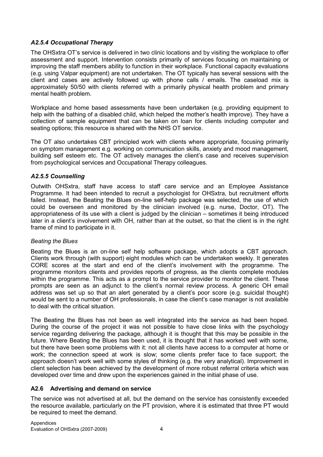### A2.5.4 Occupational Therapy

The OHSxtra OT's service is delivered in two clinic locations and by visiting the workplace to offer assessment and support. Intervention consists primarily of services focusing on maintaining or improving the staff members ability to function in their workplace. Functional capacity evaluations (e.g. using Valpar equipment) are not undertaken. The OT typically has several sessions with the client and cases are actively followed up with phone calls / emails. The caseload mix is approximately 50/50 with clients referred with a primarily physical health problem and primary mental health problem.

Workplace and home based assessments have been undertaken (e.g. providing equipment to help with the bathing of a disabled child, which helped the mother's health improve). They have a collection of sample equipment that can be taken on loan for clients including computer and seating options; this resource is shared with the NHS OT service.

The OT also undertakes CBT principled work with clients where appropriate, focusing primarily on symptom management e.g. working on communication skills, anxiety and mood management, building self esteem etc. The OT actively manages the client's case and receives supervision from psychological services and Occupational Therapy colleagues.

#### A2.5.5 Counselling

Outwith OHSxtra, staff have access to staff care service and an Employee Assistance Programme. It had been intended to recruit a psychologist for OHSxtra, but recruitment efforts failed. Instead, the Beating the Blues on-line self-help package was selected, the use of which could be overseen and monitored by the clinician involved (e.g. nurse, Doctor, OT). The appropriateness of its use with a client is judged by the clinician – sometimes it being introduced later in a client's involvement with OH, rather than at the outset, so that the client is in the right frame of mind to participate in it.

#### Beating the Blues

Beating the Blues is an on-line self help software package, which adopts a CBT approach. Clients work through (with support) eight modules which can be undertaken weekly. It generates CORE scores at the start and end of the client's involvement with the programme. The programme monitors clients and provides reports of progress, as the clients complete modules within the programme. This acts as a prompt to the service provider to monitor the client. These prompts are seen as an adjunct to the client's normal review process. A generic OH email address was set up so that an alert generated by a client's poor score (e.g. suicidal thought) would be sent to a number of OH professionals, in case the client's case manager is not available to deal with the critical situation.

The Beating the Blues has not been as well integrated into the service as had been hoped. During the course of the project it was not possible to have close links with the psychology service regarding delivering the package, although it is thought that this may be possible in the future. Where Beating the Blues has been used, it is thought that it has worked well with some, but there have been some problems with it: not all clients have access to a computer at home or work; the connection speed at work is slow; some clients prefer face to face support; the approach doesn't work well with some styles of thinking (e.g. the very analytical). Improvement in client selection has been achieved by the development of more robust referral criteria which was developed over time and drew upon the experiences gained in the initial phase of use.

### A2.6 Advertising and demand on service

The service was not advertised at all, but the demand on the service has consistently exceeded the resource available, particularly on the PT provision, where it is estimated that three PT would be required to meet the demand.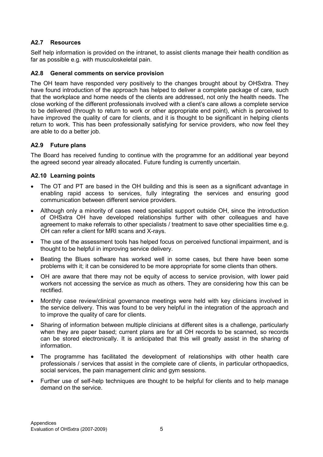### A2.7 Resources

Self help information is provided on the intranet, to assist clients manage their health condition as far as possible e.g. with musculoskeletal pain.

#### A2.8 General comments on service provision

The OH team have responded very positively to the changes brought about by OHSxtra. They have found introduction of the approach has helped to deliver a complete package of care, such that the workplace and home needs of the clients are addressed, not only the health needs. The close working of the different professionals involved with a client's care allows a complete service to be delivered (through to return to work or other appropriate end point), which is perceived to have improved the quality of care for clients, and it is thought to be significant in helping clients return to work. This has been professionally satisfying for service providers, who now feel they are able to do a better job.

#### A2.9 Future plans

The Board has received funding to continue with the programme for an additional year beyond the agreed second year already allocated. Future funding is currently uncertain.

#### A2.10 Learning points

- The OT and PT are based in the OH building and this is seen as a significant advantage in enabling rapid access to services, fully integrating the services and ensuring good communication between different service providers.
- Although only a minority of cases need specialist support outside OH, since the introduction of OHSxtra OH have developed relationships further with other colleagues and have agreement to make referrals to other specialists / treatment to save other specialities time e.g. OH can refer a client for MRI scans and X-rays.
- The use of the assessment tools has helped focus on perceived functional impairment, and is thought to be helpful in improving service delivery.
- Beating the Blues software has worked well in some cases, but there have been some problems with it; it can be considered to be more appropriate for some clients than others.
- OH are aware that there may not be equity of access to service provision, with lower paid workers not accessing the service as much as others. They are considering how this can be rectified.
- Monthly case review/clinical governance meetings were held with key clinicians involved in the service delivery. This was found to be very helpful in the integration of the approach and to improve the quality of care for clients.
- Sharing of information between multiple clinicians at different sites is a challenge, particularly when they are paper based; current plans are for all OH records to be scanned, so records can be stored electronically. It is anticipated that this will greatly assist in the sharing of information.
- The programme has facilitated the development of relationships with other health care professionals / services that assist in the complete care of clients, in particular orthopaedics, social services, the pain management clinic and gym sessions.
- Further use of self-help techniques are thought to be helpful for clients and to help manage demand on the service.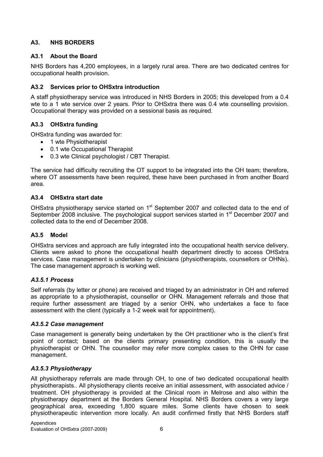### A3. NHS BORDERS

### A3.1 About the Board

NHS Borders has 4,200 employees, in a largely rural area. There are two dedicated centres for occupational health provision.

### A3.2 Services prior to OHSxtra introduction

A staff physiotherapy service was introduced in NHS Borders in 2005; this developed from a 0.4 wte to a 1 wte service over 2 years. Prior to OHSxtra there was 0.4 wte counselling provision. Occupational therapy was provided on a sessional basis as required.

#### A3.3 OHSxtra funding

OHSxtra funding was awarded for:

- 1 wte Physiotherapist
- 0.1 wte Occupational Therapist
- 0.3 wte Clinical psychologist / CBT Therapist.

The service had difficulty recruiting the OT support to be integrated into the OH team; therefore, where OT assessments have been required, these have been purchased in from another Board area.

#### A3.4 OHSxtra start date

OHSxtra physiotherapy service started on 1<sup>st</sup> September 2007 and collected data to the end of September 2008 inclusive. The psychological support services started in 1<sup>st</sup> December 2007 and collected data to the end of December 2008.

#### A3.5 Model

OHSxtra services and approach are fully integrated into the occupational health service delivery. Clients were asked to phone the occupational health department directly to access OHSxtra services. Case management is undertaken by clinicians (physiotherapists, counsellors or OHNs). The case management approach is working well.

#### A3.5.1 Process

Self referrals (by letter or phone) are received and triaged by an administrator in OH and referred as appropriate to a physiotherapist, counsellor or OHN. Management referrals and those that require further assessment are triaged by a senior OHN, who undertakes a face to face assessment with the client (typically a 1-2 week wait for appointment).

#### A3.5.2 Case management

Case management is generally being undertaken by the OH practitioner who is the client's first point of contact; based on the clients primary presenting condition, this is usually the physiotherapist or OHN. The counsellor may refer more complex cases to the OHN for case management.

#### A3.5.3 Physiotherapy

All physiotherapy referrals are made through OH, to one of two dedicated occupational health physiotherapists.. All physiotherapy clients receive an initial assessment, with associated advice / treatment. OH physiotherapy is provided at the Clinical room in Melrose and also within the physiotherapy department at the Borders General Hospital. NHS Borders covers a very large geographical area, exceeding 1,800 square miles. Some clients have chosen to seek physiotherapeutic intervention more locally. An audit confirmed firstly that NHS Borders staff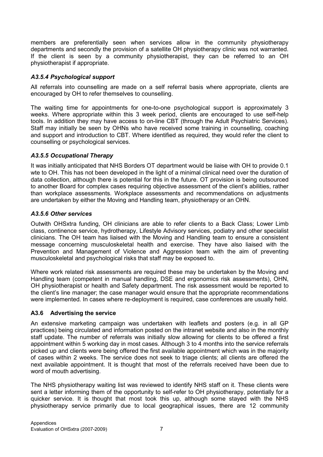members are preferentially seen when services allow in the community physiotherapy departments and secondly the provision of a satellite OH physiotherapy clinic was not warranted. If the client is seen by a community physiotherapist, they can be referred to an OH physiotherapist if appropriate.

### A3.5.4 Psychological support

All referrals into counselling are made on a self referral basis where appropriate, clients are encouraged by OH to refer themselves to counselling.

The waiting time for appointments for one-to-one psychological support is approximately 3 weeks. Where appropriate within this 3 week period, clients are encouraged to use self-help tools. In addition they may have access to on-line CBT (through the Adult Psychiatric Services). Staff may initially be seen by OHNs who have received some training in counselling, coaching and support and introduction to CBT. Where identified as required, they would refer the client to counselling or psychological services.

### A3.5.5 Occupational Therapy

It was initially anticipated that NHS Borders OT department would be liaise with OH to provide 0.1 wte to OH. This has not been developed in the light of a minimal clinical need over the duration of data collection, although there is potential for this in the future. OT provision is being outsourced to another Board for complex cases requiring objective assessment of the client's abilities, rather than workplace assessments. Workplace assessments and recommendations on adjustments are undertaken by either the Moving and Handling team, physiotherapy or an OHN.

### A3.5.6 Other services

Outwith OHSxtra funding, OH clinicians are able to refer clients to a Back Class; Lower Limb class, continence service, hydrotherapy, Lifestyle Advisory services, podiatry and other specialist clinicians. The OH team has liaised with the Moving and Handling team to ensure a consistent message concerning musculoskeletal health and exercise. They have also liaised with the Prevention and Management of Violence and Aggression team with the aim of preventing musculoskeletal and psychological risks that staff may be exposed to.

Where work related risk assessments are required these may be undertaken by the Moving and Handling team (competent in manual handling, DSE and ergonomics risk assessments), OHN, OH physiotherapist or health and Safety department. The risk assessment would be reported to the client's line manager; the case manager would ensure that the appropriate recommendations were implemented. In cases where re-deployment is required, case conferences are usually held.

### A3.6 Advertising the service

An extensive marketing campaign was undertaken with leaflets and posters (e.g. in all GP practices) being circulated and information posted on the intranet website and also in the monthly staff update. The number of referrals was initially slow allowing for clients to be offered a first appointment within 5 working day in most cases. Although 3 to 4 months into the service referrals picked up and clients were being offered the first available appointment which was in the majority of cases within 2 weeks. The service does not seek to triage clients; all clients are offered the next available appointment. It is thought that most of the referrals received have been due to word of mouth advertising.

The NHS physiotherapy waiting list was reviewed to identify NHS staff on it. These clients were sent a letter informing them of the opportunity to self-refer to OH physiotherapy, potentially for a quicker service. It is thought that most took this up, although some stayed with the NHS physiotherapy service primarily due to local geographical issues, there are 12 community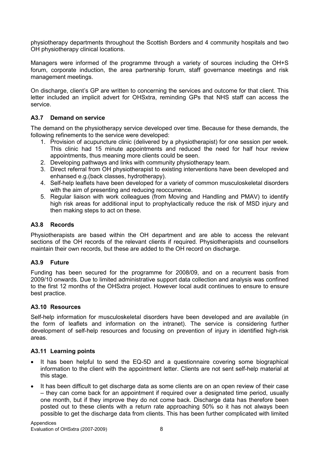physiotherapy departments throughout the Scottish Borders and 4 community hospitals and two OH physiotherapy clinical locations.

Managers were informed of the programme through a variety of sources including the OH+S forum, corporate induction, the area partnership forum, staff governance meetings and risk management meetings.

On discharge, client's GP are written to concerning the services and outcome for that client. This letter included an implicit advert for OHSxtra, reminding GPs that NHS staff can access the service.

### A3.7 Demand on service

The demand on the physiotherapy service developed over time. Because for these demands, the following refinements to the service were developed:

- 1. Provision of acupuncture clinic (delivered by a physiotherapist) for one session per week. This clinic had 15 minute appointments and reduced the need for half hour review appointments, thus meaning more clients could be seen.
- 2. Developing pathways and links with community physiotherapy team.
- 3. Direct referral from OH physiotherapist to existing interventions have been developed and enhansed e.g.(back classes, hydrotherapy).
- 4. Self-help leaflets have been developed for a variety of common musculoskeletal disorders with the aim of presenting and reducing reoccurrence.
- 5. Regular liaison with work colleagues (from Moving and Handling and PMAV) to identify high risk areas for additional input to prophylactically reduce the risk of MSD injury and then making steps to act on these.

#### A3.8 Records

Physiotherapists are based within the OH department and are able to access the relevant sections of the OH records of the relevant clients if required. Physiotherapists and counsellors maintain their own records, but these are added to the OH record on discharge.

### A3.9 Future

Funding has been secured for the programme for 2008/09, and on a recurrent basis from 2009/10 onwards. Due to limited administrative support data collection and analysis was confined to the first 12 months of the OHSxtra project. However local audit continues to ensure to ensure best practice.

#### A3.10 Resources

Self-help information for musculoskeletal disorders have been developed and are available (in the form of leaflets and information on the intranet). The service is considering further development of self-help resources and focusing on prevention of injury in identified high-risk areas.

#### A3.11 Learning points

- It has been helpful to send the EQ-5D and a questionnaire covering some biographical information to the client with the appointment letter. Clients are not sent self-help material at this stage.
- It has been difficult to get discharge data as some clients are on an open review of their case – they can come back for an appointment if required over a designated time period, usually one month, but if they improve they do not come back. Discharge data has therefore been posted out to these clients with a return rate approaching 50% so it has not always been possible to get the discharge data from clients. This has been further complicated with limited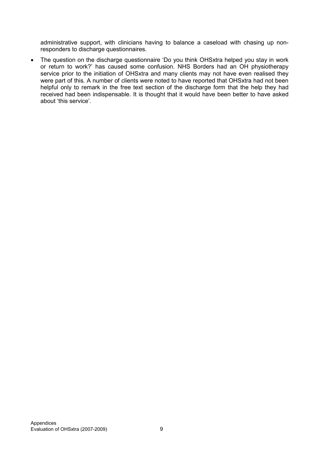administrative support, with clinicians having to balance a caseload with chasing up nonresponders to discharge questionnaires.

• The question on the discharge questionnaire 'Do you think OHSxtra helped you stay in work or return to work?' has caused some confusion. NHS Borders had an OH physiotherapy service prior to the initiation of OHSxtra and many clients may not have even realised they were part of this. A number of clients were noted to have reported that OHSxtra had not been helpful only to remark in the free text section of the discharge form that the help they had received had been indispensable. It is thought that it would have been better to have asked about 'this service'.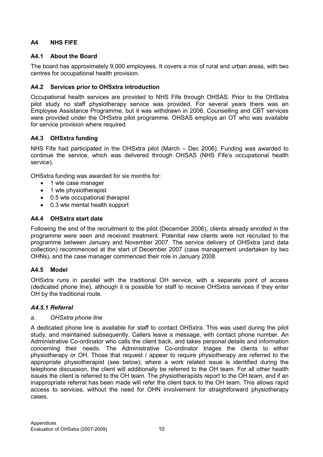### A4 NHS FIFE

### A4.1 About the Board

The board has approximately 9,000 employees. It covers a mix of rural and urban areas, with two centres for occupational health provision.

### A4.2 Services prior to OHSxtra introduction

Occupational health services are provided to NHS Fife through OHSAS. Prior to the OHSxtra pilot study no staff physiotherapy service was provided. For several years there was an Employee Assistance Programme, but it was withdrawn in 2006. Counselling and CBT services were provided under the OHSxtra pilot programme. OHSAS employs an OT who was available for service provision where required.

### A4.3 OHSxtra funding

NHS Fife had participated in the OHSxtra pilot (March – Dec 2006). Funding was awarded to continue the service, which was delivered through OHSAS (NHS Fife's occupational health service).

OHSxtra funding was awarded for six months for:

- 1 wte case manager
- 1 wte physiotherapist
- 0.5 wte occupational therapist
- 0.3 wte mental health support

#### A4.4 OHSxtra start date

Following the end of the recruitment to the pilot (December 2006), clients already enrolled in the programme were seen and received treatment. Potential new clients were not recruited to the programme between January and November 2007. The service delivery of OHSxtra (and data collection) recommenced at the start of December 2007 (case management undertaken by two OHNs), and the case manager commenced their role in January 2008.

### A4.5 Model

OHSxtra runs in parallel with the traditional OH service, with a separate point of access (dedicated phone line), although it is possible for staff to receive OHSxtra services if they enter OH by the traditional route.

#### A4.5.1 Referral

#### a. OHSxtra phone line

A dedicated phone line is available for staff to contact OHSxtra. This was used during the pilot study, and maintained subsequently. Callers leave a message, with contact phone number. An Administrative Co-ordinator who calls the client back, and takes personal details and information concerning their needs. The Administrative Co-ordinator triages the clients to either physiotherapy or OH. Those that request / appear to require physiotherapy are referred to the appropriate physiotherapist (see below); where a work related issue is identified during the telephone discussion, the client will additionally be referred to the OH team. For all other health issues the client is referred to the OH team. The physiotherapists report to the OH team, and if an inappropriate referral has been made will refer the client back to the OH team. This allows rapid access to services, without the need for OHN involvement for straightforward physiotherapy cases.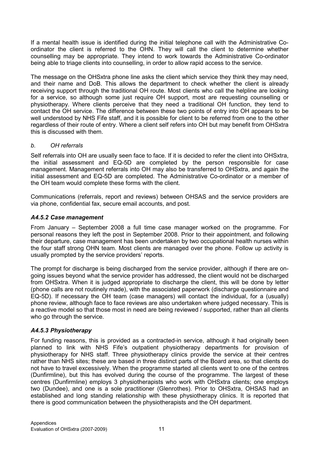If a mental health issue is identified during the initial telephone call with the Administrative Coordinator the client is referred to the OHN. They will call the client to determine whether counselling may be appropriate. They intend to work towards the Administrative Co-ordinator being able to triage clients into counselling, in order to allow rapid access to the service.

The message on the OHSxtra phone line asks the client which service they think they may need, and their name and DoB. This allows the department to check whether the client is already receiving support through the traditional OH route. Most clients who call the helpline are looking for a service, so although some just require OH support, most are requesting counselling or physiotherapy. Where clients perceive that they need a traditional OH function, they tend to contact the OH service. The difference between these two points of entry into OH appears to be well understood by NHS Fife staff, and it is possible for client to be referred from one to the other regardless of their route of entry. Where a client self refers into OH but may benefit from OHSxtra this is discussed with them.

#### b. OH referrals

Self referrals into OH are usually seen face to face. If it is decided to refer the client into OHSxtra, the initial assessment and EQ-5D are completed by the person responsible for case management. Management referrals into OH may also be transferred to OHSxtra, and again the initial assessment and EQ-5D are completed. The Administrative Co-ordinator or a member of the OH team would complete these forms with the client.

Communications (referrals, report and reviews) between OHSAS and the service providers are via phone, confidential fax, secure email accounts, and post.

#### A4.5.2 Case management

From January – September 2008 a full time case manager worked on the programme. For personal reasons they left the post in September 2008. Prior to their appointment, and following their departure, case management has been undertaken by two occupational health nurses within the four staff strong OHN team. Most clients are managed over the phone. Follow up activity is usually prompted by the service providers' reports.

The prompt for discharge is being discharged from the service provider, although if there are ongoing issues beyond what the service provider has addressed, the client would not be discharged from OHSxtra. When it is judged appropriate to discharge the client, this will be done by letter (phone calls are not routinely made), with the associated paperwork (discharge questionnaire and EQ-5D). If necessary the OH team (case managers) will contact the individual, for a (usually) phone review, although face to face reviews are also undertaken where judged necessary. This is a reactive model so that those most in need are being reviewed / supported, rather than all clients who go through the service.

#### A4.5.3 Physiotherapy

For funding reasons, this is provided as a contracted-in service, although it had originally been planned to link with NHS Fife's outpatient physiotherapy departments for provision of physiotherapy for NHS staff. Three physiotherapy clinics provide the service at their centres rather than NHS sites; these are based in three distinct parts of the Board area, so that clients do not have to travel excessively. When the programme started all clients went to one of the centres (Dunfirmline), but this has evolved during the course of the programme. The largest of these centres (Dunfirmline) employs 3 physiotherapists who work with OHSxtra clients; one employs two (Dundee), and one is a sole practitioner (Glenrothes). Prior to OHSxtra, OHSAS had an established and long standing relationship with these physiotherapy clinics. It is reported that there is good communication between the physiotherapists and the OH department.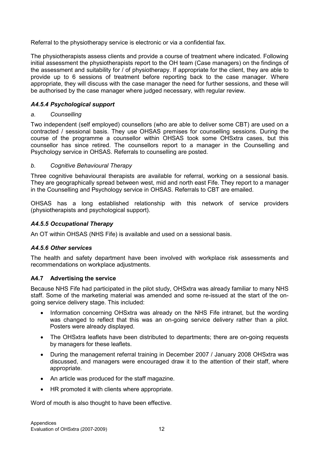Referral to the physiotherapy service is electronic or via a confidential fax.

The physiotherapists assess clients and provide a course of treatment where indicated. Following initial assessment the physiotherapists report to the OH team (Case managers) on the findings of the assessment and suitability for / of physiotherapy. If appropriate for the client, they are able to provide up to 6 sessions of treatment before reporting back to the case manager. Where appropriate, they will discuss with the case manager the need for further sessions, and these will be authorised by the case manager where judged necessary, with regular review.

#### A4.5.4 Psychological support

#### a. Counselling

Two independent (self employed) counsellors (who are able to deliver some CBT) are used on a contracted / sessional basis. They use OHSAS premises for counselling sessions. During the course of the programme a counsellor within OHSAS took some OHSxtra cases, but this counsellor has since retired. The counsellors report to a manager in the Counselling and Psychology service in OHSAS. Referrals to counselling are posted.

#### b. Cognitive Behavioural Therapy

Three cognitive behavioural therapists are available for referral, working on a sessional basis. They are geographically spread between west, mid and north east Fife. They report to a manager in the Counselling and Psychology service in OHSAS. Referrals to CBT are emailed.

OHSAS has a long established relationship with this network of service providers (physiotherapists and psychological support).

### A4.5.5 Occupational Therapy

An OT within OHSAS (NHS Fife) is available and used on a sessional basis.

#### A4.5.6 Other services

The health and safety department have been involved with workplace risk assessments and recommendations on workplace adjustments.

#### A4.7 Advertising the service

Because NHS Fife had participated in the pilot study, OHSxtra was already familiar to many NHS staff. Some of the marketing material was amended and some re-issued at the start of the ongoing service delivery stage. This included:

- Information concerning OHSxtra was already on the NHS Fife intranet, but the wording was changed to reflect that this was an on-going service delivery rather than a pilot. Posters were already displayed.
- The OHSxtra leaflets have been distributed to departments; there are on-going requests by managers for these leaflets.
- During the management referral training in December 2007 / January 2008 OHSxtra was discussed, and managers were encouraged draw it to the attention of their staff, where appropriate.
- An article was produced for the staff magazine.
- HR promoted it with clients where appropriate.

Word of mouth is also thought to have been effective.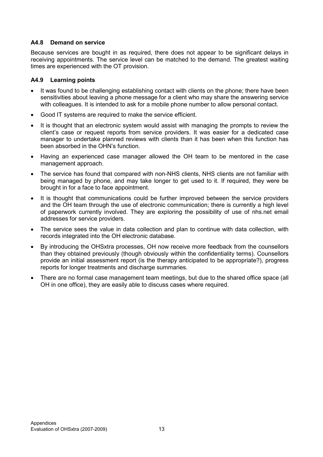#### A4.8 Demand on service

Because services are bought in as required, there does not appear to be significant delays in receiving appointments. The service level can be matched to the demand. The greatest waiting times are experienced with the OT provision.

#### A4.9 Learning points

- It was found to be challenging establishing contact with clients on the phone; there have been sensitivities about leaving a phone message for a client who may share the answering service with colleagues. It is intended to ask for a mobile phone number to allow personal contact.
- Good IT systems are required to make the service efficient.
- It is thought that an electronic system would assist with managing the prompts to review the client's case or request reports from service providers. It was easier for a dedicated case manager to undertake planned reviews with clients than it has been when this function has been absorbed in the OHN's function.
- Having an experienced case manager allowed the OH team to be mentored in the case management approach.
- The service has found that compared with non-NHS clients. NHS clients are not familiar with being managed by phone, and may take longer to get used to it. If required, they were be brought in for a face to face appointment.
- It is thought that communications could be further improved between the service providers and the OH team through the use of electronic communication; there is currently a high level of paperwork currently involved. They are exploring the possibility of use of nhs.net email addresses for service providers.
- The service sees the value in data collection and plan to continue with data collection, with records integrated into the OH electronic database.
- By introducing the OHSxtra processes, OH now receive more feedback from the counsellors than they obtained previously (though obviously within the confidentiality terms). Counsellors provide an initial assessment report (is the therapy anticipated to be appropriate?), progress reports for longer treatments and discharge summaries.
- There are no formal case management team meetings, but due to the shared office space (all OH in one office), they are easily able to discuss cases where required.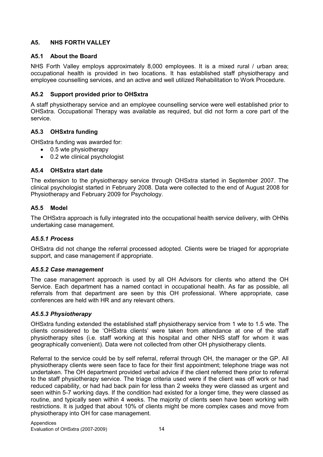### A5. NHS FORTH VALLEY

#### A5.1 About the Board

NHS Forth Valley employs approximately 8,000 employees. It is a mixed rural / urban area; occupational health is provided in two locations. It has established staff physiotherapy and employee counselling services, and an active and well utilized Rehabilitation to Work Procedure.

### A5.2 Support provided prior to OHSxtra

A staff physiotherapy service and an employee counselling service were well established prior to OHSxtra. Occupational Therapy was available as required, but did not form a core part of the service.

#### A5.3 OHSxtra funding

OHSxtra funding was awarded for:

- 0.5 wte physiotherapy
- 0.2 wte clinical psychologist

#### A5.4 OHSxtra start date

The extension to the physiotherapy service through OHSxtra started in September 2007. The clinical psychologist started in February 2008. Data were collected to the end of August 2008 for Physiotherapy and February 2009 for Psychology.

#### A5.5 Model

The OHSxtra approach is fully integrated into the occupational health service delivery, with OHNs undertaking case management.

#### A5.5.1 Process

OHSxtra did not change the referral processed adopted. Clients were be triaged for appropriate support, and case management if appropriate.

#### A5.5.2 Case management

The case management approach is used by all OH Advisors for clients who attend the OH Service. Each department has a named contact in occupational health. As far as possible, all referrals from that department are seen by this OH professional. Where appropriate, case conferences are held with HR and any relevant others.

#### A5.5.3 Physiotherapy

OHSxtra funding extended the established staff physiotherapy service from 1 wte to 1.5 wte. The clients considered to be 'OHSxtra clients' were taken from attendance at one of the staff physiotherapy sites (i.e. staff working at this hospital and other NHS staff for whom it was geographically convenient). Data were not collected from other OH physiotherapy clients.

Referral to the service could be by self referral, referral through OH, the manager or the GP. All physiotherapy clients were seen face to face for their first appointment; telephone triage was not undertaken. The OH department provided verbal advice if the client referred there prior to referral to the staff physiotherapy service. The triage criteria used were if the client was off work or had reduced capability, or had had back pain for less than 2 weeks they were classed as urgent and seen within 5-7 working days. If the condition had existed for a longer time, they were classed as routine, and typically seen within 4 weeks. The majority of clients seen have been working with restrictions. It is judged that about 10% of clients might be more complex cases and move from physiotherapy into OH for case management.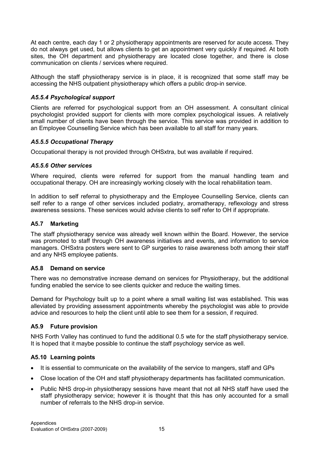At each centre, each day 1 or 2 physiotherapy appointments are reserved for acute access. They do not always get used, but allows clients to get an appointment very quickly if required. At both sites, the OH department and physiotherapy are located close together, and there is close communication on clients / services where required.

Although the staff physiotherapy service is in place, it is recognized that some staff may be accessing the NHS outpatient physiotherapy which offers a public drop-in service.

### A5.5.4 Psychological support

Clients are referred for psychological support from an OH assessment. A consultant clinical psychologist provided support for clients with more complex psychological issues. A relatively small number of clients have been through the service. This service was provided in addition to an Employee Counselling Service which has been available to all staff for many years.

#### A5.5.5 Occupational Therapy

Occupational therapy is not provided through OHSxtra, but was available if required.

#### A5.5.6 Other services

Where required, clients were referred for support from the manual handling team and occupational therapy. OH are increasingly working closely with the local rehabilitation team.

In addition to self referral to physiotherapy and the Employee Counselling Service, clients can self refer to a range of other services included podiatry, aromatherapy, reflexology and stress awareness sessions. These services would advise clients to self refer to OH if appropriate.

#### A5.7 Marketing

The staff physiotherapy service was already well known within the Board. However, the service was promoted to staff through OH awareness initiatives and events, and information to service managers. OHSxtra posters were sent to GP surgeries to raise awareness both among their staff and any NHS employee patients.

#### A5.8 Demand on service

There was no demonstrative increase demand on services for Physiotherapy, but the additional funding enabled the service to see clients quicker and reduce the waiting times.

Demand for Psychology built up to a point where a small waiting list was established. This was alleviated by providing assessment appointments whereby the psychologist was able to provide advice and resources to help the client until able to see them for a session, if required.

#### A5.9 Future provision

NHS Forth Valley has continued to fund the additional 0.5 wte for the staff physiotherapy service. It is hoped that it maybe possible to continue the staff psychology service as well.

### A5.10 Learning points

- It is essential to communicate on the availability of the service to mangers, staff and GPs
- Close location of the OH and staff physiotherapy departments has facilitated communication.
- Public NHS drop-in physiotherapy sessions have meant that not all NHS staff have used the staff physiotherapy service; however it is thought that this has only accounted for a small number of referrals to the NHS drop-in service.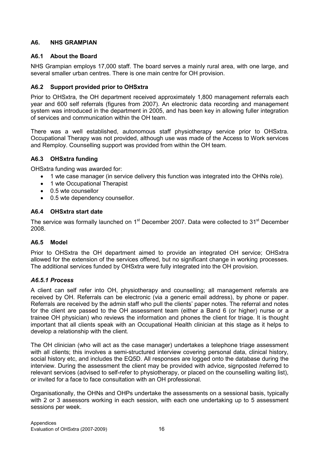### A6. NHS GRAMPIAN

### A6.1 About the Board

NHS Grampian employs 17,000 staff. The board serves a mainly rural area, with one large, and several smaller urban centres. There is one main centre for OH provision.

### A6.2 Support provided prior to OHSxtra

Prior to OHSxtra, the OH department received approximately 1,800 management referrals each year and 600 self referrals (figures from 2007). An electronic data recording and management system was introduced in the department in 2005, and has been key in allowing fuller integration of services and communication within the OH team.

There was a well established, autonomous staff physiotherapy service prior to OHSxtra. Occupational Therapy was not provided, although use was made of the Access to Work services and Remploy. Counselling support was provided from within the OH team.

### A6.3 OHSxtra funding

OHSxtra funding was awarded for:

- 1 wte case manager (in service delivery this function was integrated into the OHNs role).
- 1 wte Occupational Therapist
- 0.5 wte counsellor
- 0.5 wte dependency counsellor.

#### A6.4 OHSxtra start date

The service was formally launched on 1<sup>st</sup> December 2007. Data were collected to 31<sup>st</sup> December 2008.

### A6.5 Model

Prior to OHSxtra the OH department aimed to provide an integrated OH service; OHSxtra allowed for the extension of the services offered, but no significant change in working processes. The additional services funded by OHSxtra were fully integrated into the OH provision.

### A6.5.1 Process

A client can self refer into OH, physiotherapy and counselling; all management referrals are received by OH. Referrals can be electronic (via a generic email address), by phone or paper. Referrals are received by the admin staff who pull the clients' paper notes. The referral and notes for the client are passed to the OH assessment team (either a Band 6 (or higher) nurse or a trainee OH physician) who reviews the information and phones the client for triage. It is thought important that all clients speak with an Occupational Health clinician at this stage as it helps to develop a relationship with the client.

The OH clinician (who will act as the case manager) undertakes a telephone triage assessment with all clients; this involves a semi-structured interview covering personal data, clinical history, social history etc, and includes the EQ5D. All responses are logged onto the database during the interview. During the assessment the client may be provided with advice, signposted /referred to relevant services (advised to self-refer to physiotherapy, or placed on the counselling waiting list), or invited for a face to face consultation with an OH professional.

Organisationally, the OHNs and OHPs undertake the assessments on a sessional basis, typically with 2 or 3 assessors working in each session, with each one undertaking up to 5 assessment sessions per week.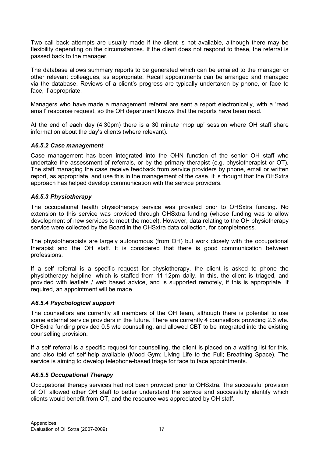Two call back attempts are usually made if the client is not available, although there may be flexibility depending on the circumstances. If the client does not respond to these, the referral is passed back to the manager.

The database allows summary reports to be generated which can be emailed to the manager or other relevant colleagues, as appropriate. Recall appointments can be arranged and managed via the database. Reviews of a client's progress are typically undertaken by phone, or face to face, if appropriate.

Managers who have made a management referral are sent a report electronically, with a 'read email' response request, so the OH department knows that the reports have been read.

At the end of each day (4.30pm) there is a 30 minute 'mop up' session where OH staff share information about the day's clients (where relevant).

#### A6.5.2 Case management

Case management has been integrated into the OHN function of the senior OH staff who undertake the assessment of referrals, or by the primary therapist (e.g. physiotherapist or OT). The staff managing the case receive feedback from service providers by phone, email or written report, as appropriate, and use this in the management of the case. It is thought that the OHSxtra approach has helped develop communication with the service providers.

#### A6.5.3 Physiotherapy

The occupational health physiotherapy service was provided prior to OHSxtra funding. No extension to this service was provided through OHSxtra funding (whose funding was to allow development of new services to meet the model). However, data relating to the OH physiotherapy service were collected by the Board in the OHSxtra data collection, for completeness.

The physiotherapists are largely autonomous (from OH) but work closely with the occupational therapist and the OH staff. It is considered that there is good communication between professions.

If a self referral is a specific request for physiotherapy, the client is asked to phone the physiotherapy helpline, which is staffed from 11-12pm daily. In this, the client is triaged, and provided with leaflets / web based advice, and is supported remotely, if this is appropriate. If required, an appointment will be made.

#### A6.5.4 Psychological support

The counsellors are currently all members of the OH team, although there is potential to use some external service providers in the future. There are currently 4 counsellors providing 2.6 wte. OHSxtra funding provided 0.5 wte counselling, and allowed CBT to be integrated into the existing counselling provision.

If a self referral is a specific request for counselling, the client is placed on a waiting list for this, and also told of self-help available (Mood Gym; Living Life to the Full; Breathing Space). The service is aiming to develop telephone-based triage for face to face appointments.

#### A6.5.5 Occupational Therapy

Occupational therapy services had not been provided prior to OHSxtra. The successful provision of OT allowed other OH staff to better understand the service and successfully identify which clients would benefit from OT, and the resource was appreciated by OH staff.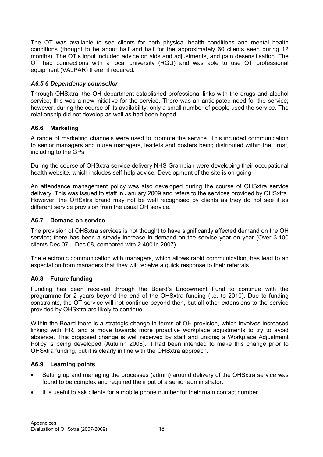The OT was available to see clients for both physical health conditions and mental health conditions (thought to be about half and half for the approximately 60 clients seen during 12 months). The OT's input included advice on aids and adjustments, and pain desensitisation. The OT had connections with a local university (RGU) and was able to use OT professional equipment (VALPAR) there, if required.

### A6.5.6 Dependency counsellor

Through OHSxtra, the OH department established professional links with the drugs and alcohol service; this was a new initiative for the service. There was an anticipated need for the service; however, during the course of its availability, only a small number of people used the service. The relationship did not develop as well as had been hoped.

#### A6.6 Marketing

A range of marketing channels were used to promote the service. This included communication to senior managers and nurse managers, leaflets and posters being distributed within the Trust, including to the GPs.

During the course of OHSxtra service delivery NHS Grampian were developing their occupational health website, which includes self-help advice. Development of the site is on-going.

An attendance management policy was also developed during the course of OHSxtra service delivery. This was issued to staff in January 2009 and refers to the services provided by OHSxtra. However, the OHSxtra brand may not be well recognised by clients as they do not see it as different service provision from the usual OH service.

#### A6.7 Demand on service

The provision of OHSxtra services is not thought to have significantly affected demand on the OH service; there has been a steady increase in demand on the service year on year (Over 3,100 clients Dec 07 – Dec 08, compared with 2,400 in 2007).

The electronic communication with managers, which allows rapid communication, has lead to an expectation from managers that they will receive a quick response to their referrals.

#### A6.8 Future funding

Funding has been received through the Board's Endowment Fund to continue with the programme for 2 years beyond the end of the OHSxtra funding (i.e. to 2010). Due to funding constraints, the OT service will not continue beyond then, but all other extensions to the service provided by OHSxtra are likely to continue.

Within the Board there is a strategic change in terms of OH provision, which involves increased linking with HR, and a move towards more proactive workplace adjustments to try to avoid absence. This proposed change is well received by staff and unions; a Workplace Adjustment Policy is being developed (Autumn 2008). It had been intended to make this change prior to OHSxtra funding, but it is clearly in line with the OHSxtra approach.

#### A6.9 Learning points

- Setting up and managing the processes (admin) around delivery of the OHSxtra service was found to be complex and required the input of a senior administrator.
- It is useful to ask clients for a mobile phone number for their main contact number.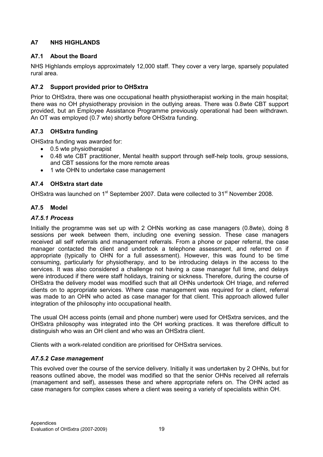### A7 NHS HIGHLANDS

### A7.1 About the Board

NHS Highlands employs approximately 12,000 staff. They cover a very large, sparsely populated rural area.

### A7.2 Support provided prior to OHSxtra

Prior to OHSxtra, there was one occupational health physiotherapist working in the main hospital; there was no OH physiotherapy provision in the outlying areas. There was 0.8wte CBT support provided, but an Employee Assistance Programme previously operational had been withdrawn. An OT was employed (0.7 wte) shortly before OHSxtra funding.

### A7.3 OHSxtra funding

OHSxtra funding was awarded for:

- 0.5 wte physiotherapist
- 0.48 wte CBT practitioner, Mental health support through self-help tools, group sessions, and CBT sessions for the more remote areas
- 1 wte OHN to undertake case management

### A7.4 OHSxtra start date

OHSxtra was launched on 1<sup>st</sup> September 2007. Data were collected to 31<sup>st</sup> November 2008.

### A7.5 Model

#### A7.5.1 Process

Initially the programme was set up with 2 OHNs working as case managers (0.8wte), doing 8 sessions per week between them, including one evening session. These case managers received all self referrals and management referrals. From a phone or paper referral, the case manager contacted the client and undertook a telephone assessment, and referred on if appropriate (typically to OHN for a full assessment). However, this was found to be time consuming, particularly for physiotherapy, and to be introducing delays in the access to the services. It was also considered a challenge not having a case manager full time, and delays were introduced if there were staff holidays, training or sickness. Therefore, during the course of OHSxtra the delivery model was modified such that all OHNs undertook OH triage, and referred clients on to appropriate services. Where case management was required for a client, referral was made to an OHN who acted as case manager for that client. This approach allowed fuller integration of the philosophy into occupational health.

The usual OH access points (email and phone number) were used for OHSxtra services, and the OHSxtra philosophy was integrated into the OH working practices. It was therefore difficult to distinguish who was an OH client and who was an OHSxtra client.

Clients with a work-related condition are prioritised for OHSxtra services.

### A7.5.2 Case management

This evolved over the course of the service delivery. Initially it was undertaken by 2 OHNs, but for reasons outlined above, the model was modified so that the senior OHNs received all referrals (management and self), assesses these and where appropriate refers on. The OHN acted as case managers for complex cases where a client was seeing a variety of specialists within OH.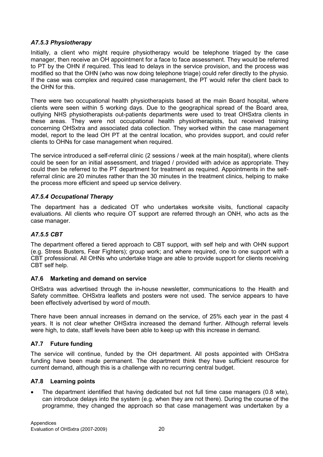#### A7.5.3 Physiotherapy

Initially, a client who might require physiotherapy would be telephone triaged by the case manager, then receive an OH appointment for a face to face assessment. They would be referred to PT by the OHN if required. This lead to delays in the service provision, and the process was modified so that the OHN (who was now doing telephone triage) could refer directly to the physio. If the case was complex and required case management, the PT would refer the client back to the OHN for this.

There were two occupational health physiotherapists based at the main Board hospital, where clients were seen within 5 working days. Due to the geographical spread of the Board area, outlying NHS physiotherapists out-patients departments were used to treat OHSxtra clients in these areas. They were not occupational health physiotherapists, but received training concerning OHSxtra and associated data collection. They worked within the case management model, report to the lead OH PT at the central location, who provides support, and could refer clients to OHNs for case management when required.

The service introduced a self-referral clinic (2 sessions / week at the main hospital), where clients could be seen for an initial assessment, and triaged / provided with advice as appropriate. They could then be referred to the PT department for treatment as required. Appointments in the selfreferral clinic are 20 minutes rather than the 30 minutes in the treatment clinics, helping to make the process more efficient and speed up service delivery.

#### A7.5.4 Occupational Therapy

The department has a dedicated OT who undertakes worksite visits, functional capacity evaluations. All clients who require OT support are referred through an ONH, who acts as the case manager.

#### A7.5.5 CBT

The department offered a tiered approach to CBT support, with self help and with OHN support (e.g. Stress Busters, Fear Fighters); group work; and where required, one to one support with a CBT professional. All OHNs who undertake triage are able to provide support for clients receiving CBT self help.

#### A7.6 Marketing and demand on service

OHSxtra was advertised through the in-house newsletter, communications to the Health and Safety committee. OHSxtra leaflets and posters were not used. The service appears to have been effectively advertised by word of mouth.

There have been annual increases in demand on the service, of 25% each year in the past 4 years. It is not clear whether OHSxtra increased the demand further. Although referral levels were high, to date, staff levels have been able to keep up with this increase in demand.

### A7.7 Future funding

The service will continue, funded by the OH department. All posts appointed with OHSxtra funding have been made permanent. The department think they have sufficient resource for current demand, although this is a challenge with no recurring central budget.

### A7.8 Learning points

• The department identified that having dedicated but not full time case managers (0.8 wte), can introduce delays into the system (e.g. when they are not there). During the course of the programme, they changed the approach so that case management was undertaken by a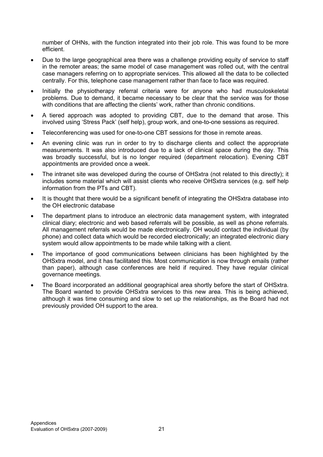number of OHNs, with the function integrated into their job role. This was found to be more efficient.

- Due to the large geographical area there was a challenge providing equity of service to staff in the remoter areas; the same model of case management was rolled out, with the central case managers referring on to appropriate services. This allowed all the data to be collected centrally. For this, telephone case management rather than face to face was required.
- Initially the physiotherapy referral criteria were for anyone who had musculoskeletal problems. Due to demand, it became necessary to be clear that the service was for those with conditions that are affecting the clients' work, rather than chronic conditions.
- A tiered approach was adopted to providing CBT, due to the demand that arose. This involved using 'Stress Pack' (self help), group work, and one-to-one sessions as required.
- Teleconferencing was used for one-to-one CBT sessions for those in remote areas.
- An evening clinic was run in order to try to discharge clients and collect the appropriate measurements. It was also introduced due to a lack of clinical space during the day. This was broadly successful, but is no longer required (department relocation). Evening CBT appointments are provided once a week.
- The intranet site was developed during the course of OHSxtra (not related to this directly); it includes some material which will assist clients who receive OHSxtra services (e.g. self help information from the PTs and CBT).
- It is thought that there would be a significant benefit of integrating the OHSxtra database into the OH electronic database
- The department plans to introduce an electronic data management system, with integrated clinical diary; electronic and web based referrals will be possible, as well as phone referrals. All management referrals would be made electronically. OH would contact the individual (by phone) and collect data which would be recorded electronically; an integrated electronic diary system would allow appointments to be made while talking with a client.
- The importance of good communications between clinicians has been highlighted by the OHSxtra model, and it has facilitated this. Most communication is now through emails (rather than paper), although case conferences are held if required. They have regular clinical governance meetings.
- The Board incorporated an additional geographical area shortly before the start of OHSxtra. The Board wanted to provide OHSxtra services to this new area. This is being achieved, although it was time consuming and slow to set up the relationships, as the Board had not previously provided OH support to the area.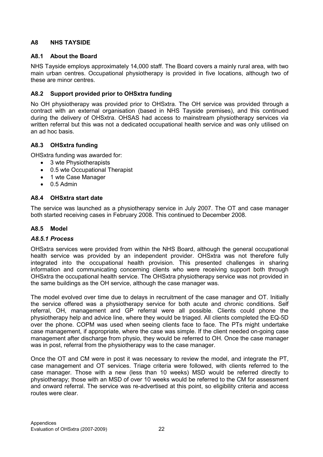### A8 NHS TAYSIDE

#### A8.1 About the Board

NHS Tayside employs approximately 14,000 staff. The Board covers a mainly rural area, with two main urban centres. Occupational physiotherapy is provided in five locations, although two of these are minor centres.

### A8.2 Support provided prior to OHSxtra funding

No OH physiotherapy was provided prior to OHSxtra. The OH service was provided through a contract with an external organisation (based in NHS Tayside premises), and this continued during the delivery of OHSxtra. OHSAS had access to mainstream physiotherapy services via written referral but this was not a dedicated occupational health service and was only utilised on an ad hoc basis.

#### A8.3 OHSxtra funding

OHSxtra funding was awarded for:

- 3 wte Physiotherapists
- 0.5 wte Occupational Therapist
- 1 wte Case Manager
- $\bullet$  0.5 Admin

#### A8.4 OHSxtra start date

The service was launched as a physiotherapy service in July 2007. The OT and case manager both started receiving cases in February 2008. This continued to December 2008.

#### A8.5 Model

#### A8.5.1 Process

OHSxtra services were provided from within the NHS Board, although the general occupational health service was provided by an independent provider. OHSxtra was not therefore fully integrated into the occupational health provision. This presented challenges in sharing information and communicating concerning clients who were receiving support both through OHSxtra the occupational health service. The OHSxtra physiotherapy service was not provided in the same buildings as the OH service, although the case manager was.

The model evolved over time due to delays in recruitment of the case manager and OT. Initially the service offered was a physiotherapy service for both acute and chronic conditions. Self referral, OH, management and GP referral were all possible. Clients could phone the physiotherapy help and advice line, where they would be triaged. All clients completed the EQ-5D over the phone. COPM was used when seeing clients face to face. The PTs might undertake case management, if appropriate, where the case was simple. If the client needed on-going case management after discharge from physio, they would be referred to OH. Once the case manager was in post, referral from the physiotherapy was to the case manager.

Once the OT and CM were in post it was necessary to review the model, and integrate the PT, case management and OT services. Triage criteria were followed, with clients referred to the case manager. Those with a new (less than 10 weeks) MSD would be referred directly to physiotherapy; those with an MSD of over 10 weeks would be referred to the CM for assessment and onward referral. The service was re-advertised at this point, so eligibility criteria and access routes were clear.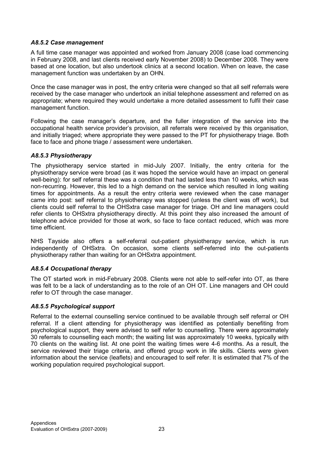#### A8.5.2 Case management

A full time case manager was appointed and worked from January 2008 (case load commencing in February 2008, and last clients received early November 2008) to December 2008. They were based at one location, but also undertook clinics at a second location. When on leave, the case management function was undertaken by an OHN.

Once the case manager was in post, the entry criteria were changed so that all self referrals were received by the case manager who undertook an initial telephone assessment and referred on as appropriate; where required they would undertake a more detailed assessment to fulfil their case management function.

Following the case manager's departure, and the fuller integration of the service into the occupational health service provider's provision, all referrals were received by this organisation, and initially triaged; where appropriate they were passed to the PT for physiotherapy triage. Both face to face and phone triage / assessment were undertaken.

#### A8.5.3 Physiotherapy

The physiotherapy service started in mid-July 2007. Initially, the entry criteria for the physiotherapy service were broad (as it was hoped the service would have an impact on general well-being): for self referral these was a condition that had lasted less than 10 weeks, which was non-recurring. However, this led to a high demand on the service which resulted in long waiting times for appointments. As a result the entry criteria were reviewed when the case manager came into post: self referral to physiotherapy was stopped (unless the client was off work), but clients could self referral to the OHSxtra case manager for triage. OH and line managers could refer clients to OHSxtra physiotherapy directly. At this point they also increased the amount of telephone advice provided for those at work, so face to face contact reduced, which was more time efficient.

NHS Tayside also offers a self-referral out-patient physiotherapy service, which is run independently of OHSxtra. On occasion, some clients self-referred into the out-patients physiotherapy rather than waiting for an OHSxtra appointment.

#### A8.5.4 Occupational therapy

The OT started work in mid-February 2008. Clients were not able to self-refer into OT, as there was felt to be a lack of understanding as to the role of an OH OT. Line managers and OH could refer to OT through the case manager.

#### A8.5.5 Psychological support

Referral to the external counselling service continued to be available through self referral or OH referral. If a client attending for physiotherapy was identified as potentially benefiting from psychological support, they were advised to self refer to counselling. There were approximately 30 referrals to counselling each month; the waiting list was approximately 10 weeks, typically with 70 clients on the waiting list. At one point the waiting times were 4-6 months. As a result, the service reviewed their triage criteria, and offered group work in life skills. Clients were given information about the service (leaflets) and encouraged to self refer. It is estimated that 7% of the working population required psychological support.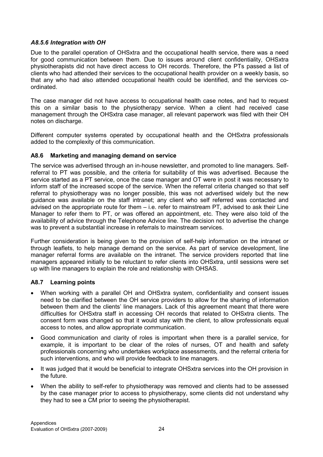#### A8.5.6 Integration with OH

Due to the parallel operation of OHSxtra and the occupational health service, there was a need for good communication between them. Due to issues around client confidentiality, OHSxtra physiotherapists did not have direct access to OH records. Therefore, the PTs passed a list of clients who had attended their services to the occupational health provider on a weekly basis, so that any who had also attended occupational health could be identified, and the services coordinated.

The case manager did not have access to occupational health case notes, and had to request this on a similar basis to the physiotherapy service. When a client had received case management through the OHSxtra case manager, all relevant paperwork was filed with their OH notes on discharge.

Different computer systems operated by occupational health and the OHSxtra professionals added to the complexity of this communication.

#### A8.6 Marketing and managing demand on service

The service was advertised through an in-house newsletter, and promoted to line managers. Selfreferral to PT was possible, and the criteria for suitability of this was advertised. Because the service started as a PT service, once the case manager and OT were in post it was necessary to inform staff of the increased scope of the service. When the referral criteria changed so that self referral to physiotherapy was no longer possible, this was not advertised widely but the new guidance was available on the staff intranet; any client who self referred was contacted and advised on the appropriate route for them – i.e. refer to mainstream PT, advised to ask their Line Manager to refer them to PT, or was offered an appointment, etc. They were also told of the availability of advice through the Telephone Advice line. The decision not to advertise the change was to prevent a substantial increase in referrals to mainstream services.

Further consideration is being given to the provision of self-help information on the intranet or through leaflets, to help manage demand on the service. As part of service development, line manager referral forms are available on the intranet. The service providers reported that line managers appeared initially to be reluctant to refer clients into OHSxtra, until sessions were set up with line managers to explain the role and relationship with OHSAS.

#### A8.7 Learning points

- When working with a parallel OH and OHSxtra system, confidentiality and consent issues need to be clarified between the OH service providers to allow for the sharing of information between them and the clients' line managers. Lack of this agreement meant that there were difficulties for OHSxtra staff in accessing OH records that related to OHSxtra clients. The consent form was changed so that it would stay with the client, to allow professionals equal access to notes, and allow appropriate communication.
- Good communication and clarity of roles is important when there is a parallel service, for example, it is important to be clear of the roles of nurses, OT and health and safety professionals concerning who undertakes workplace assessments, and the referral criteria for such interventions, and who will provide feedback to line managers.
- It was judged that it would be beneficial to integrate OHSxtra services into the OH provision in the future.
- When the ability to self-refer to physiotherapy was removed and clients had to be assessed by the case manager prior to access to physiotherapy, some clients did not understand why they had to see a CM prior to seeing the physiotherapist.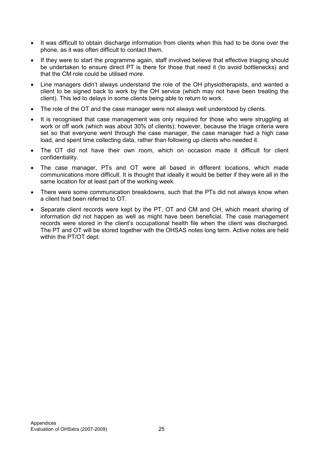- It was difficult to obtain discharge information from clients when this had to be done over the phone, as it was often difficult to contact them.
- If they were to start the programme again, staff involved believe that effective triaging should be undertaken to ensure direct PT is there for those that need it (to avoid bottlenecks) and that the CM role could be utilised more.
- Line managers didn't always understand the role of the OH physiotherapists, and wanted a client to be signed back to work by the OH service (which may not have been treating the client). This led to delays in some clients being able to return to work.
- The role of the OT and the case manager were not always well understood by clients.
- It is recognised that case management was only required for those who were struggling at work or off work (which was about 30% of clients); however, because the triage criteria were set so that everyone went through the case manager, the case manager had a high case load, and spent time collecting data, rather than following up clients who needed it.
- The OT did not have their own room, which on occasion made it difficult for client confidentiality.
- The case manager, PTs and OT were all based in different locations, which made communications more difficult. It is thought that ideally it would be better if they were all in the same location for at least part of the working week.
- There were some communication breakdowns, such that the PTs did not always know when a client had been referred to OT.
- Separate client records were kept by the PT, OT and CM and OH, which meant sharing of information did not happen as well as might have been beneficial. The case management records were stored in the client's occupational health file when the client was discharged. The PT and OT will be stored together with the OHSAS notes long term. Active notes are held within the PT/OT dept.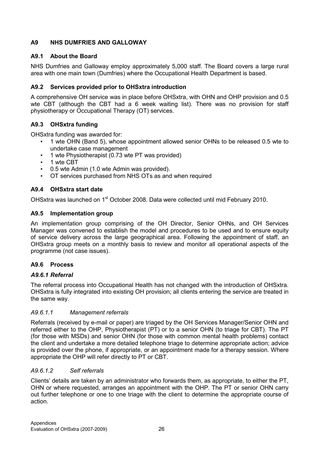### A9 NHS DUMFRIES AND GALLOWAY

### A9.1 About the Board

NHS Dumfries and Galloway employ approximately 5,000 staff. The Board covers a large rural area with one main town (Dumfries) where the Occupational Health Department is based.

### A9.2 Services provided prior to OHSxtra introduction

A comprehensive OH service was in place before OHSxtra, with OHN and OHP provision and 0.5 wte CBT (although the CBT had a 6 week waiting list). There was no provision for staff physiotherapy or Occupational Therapy (OT) services.

### A9.3 OHSxtra funding

OHSxtra funding was awarded for:

- 1 wte OHN (Band 5), whose appointment allowed senior OHNs to be released 0.5 wte to undertake case management
- 1 wte Physiotherapist (0.73 wte PT was provided)
- 1 wte CBT
- 0.5 wte Admin (1.0 wte Admin was provided).
- OT services purchased from NHS OTs as and when required

### A9.4 OHSxtra start date

OHSxtra was launched on 1<sup>st</sup> October 2008. Data were collected until mid February 2010.

### A9.5 Implementation group

An implementation group comprising of the OH Director, Senior OHNs, and OH Services Manager was convened to establish the model and procedures to be used and to ensure equity of service delivery across the large geographical area. Following the appointment of staff, an OHSxtra group meets on a monthly basis to review and monitor all operational aspects of the programme (not case issues).

### A9.6 Process

### A9.6.1 Referral

The referral process into Occupational Health has not changed with the introduction of OHSxtra. OHSxtra is fully integrated into existing OH provision; all clients entering the service are treated in the same way.

### A9.6.1.1 Management referrals

Referrals (received by e-mail or paper) are triaged by the OH Services Manager/Senior OHN and referred either to the OHP, Physiotherapist (PT) or to a senior OHN (to triage for CBT). The PT (for those with MSDs) and senior OHN (for those with common mental health problems) contact the client and undertake a more detailed telephone triage to determine appropriate action; advice is provided over the phone, if appropriate, or an appointment made for a therapy session. Where appropriate the OHP will refer directly to PT or CBT.

### A9.6.1.2 Self referrals

Clients' details are taken by an administrator who forwards them, as appropriate, to either the PT, OHN or where requested, arranges an appointment with the OHP. The PT or senior OHN carry out further telephone or one to one triage with the client to determine the appropriate course of action.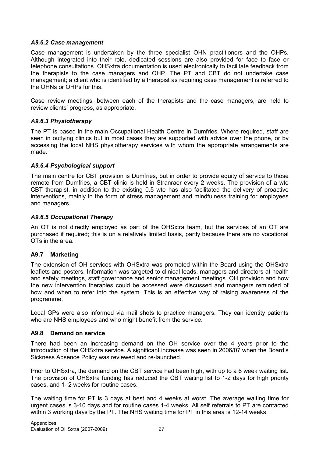#### A9.6.2 Case management

Case management is undertaken by the three specialist OHN practitioners and the OHPs. Although integrated into their role, dedicated sessions are also provided for face to face or telephone consultations. OHSxtra documentation is used electronically to facilitate feedback from the therapists to the case managers and OHP. The PT and CBT do not undertake case management; a client who is identified by a therapist as requiring case management is referred to the OHNs or OHPs for this.

Case review meetings, between each of the therapists and the case managers, are held to review clients' progress, as appropriate.

#### A9.6.3 Physiotherapy

The PT is based in the main Occupational Health Centre in Dumfries. Where required, staff are seen in outlying clinics but in most cases they are supported with advice over the phone, or by accessing the local NHS physiotherapy services with whom the appropriate arrangements are made.

#### A9.6.4 Psychological support

The main centre for CBT provision is Dumfries, but in order to provide equity of service to those remote from Dumfries, a CBT clinic is held in Stranraer every 2 weeks. The provision of a wte CBT therapist, in addition to the existing 0.5 wte has also facilitated the delivery of proactive interventions, mainly in the form of stress management and mindfulness training for employees and managers.

#### A9.6.5 Occupational Therapy

An OT is not directly employed as part of the OHSxtra team, but the services of an OT are purchased if required; this is on a relatively limited basis, partly because there are no vocational OTs in the area.

#### A9.7 Marketing

The extension of OH services with OHSxtra was promoted within the Board using the OHSxtra leaflets and posters. Information was targeted to clinical leads, managers and directors at health and safety meetings, staff governance and senior management meetings. OH provision and how the new intervention therapies could be accessed were discussed and managers reminded of how and when to refer into the system. This is an effective way of raising awareness of the programme.

Local GPs were also informed via mail shots to practice managers. They can identity patients who are NHS employees and who might benefit from the service.

#### A9.8 Demand on service

There had been an increasing demand on the OH service over the 4 years prior to the introduction of the OHSxtra service. A significant increase was seen in 2006/07 when the Board's Sickness Absence Policy was reviewed and re-launched.

Prior to OHSxtra, the demand on the CBT service had been high, with up to a 6 week waiting list. The provision of OHSxtra funding has reduced the CBT waiting list to 1-2 days for high priority cases, and 1- 2 weeks for routine cases.

The waiting time for PT is 3 days at best and 4 weeks at worst. The average waiting time for urgent cases is 3-10 days and for routine cases 1-4 weeks. All self referrals to PT are contacted within 3 working days by the PT. The NHS waiting time for PT in this area is 12-14 weeks.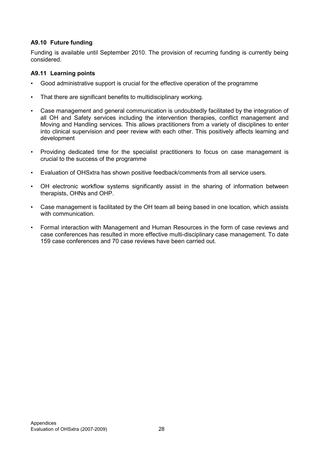### A9.10 Future funding

Funding is available until September 2010. The provision of recurring funding is currently being considered.

#### A9.11 Learning points

- Good administrative support is crucial for the effective operation of the programme
- That there are significant benefits to multidisciplinary working.
- Case management and general communication is undoubtedly facilitated by the integration of all OH and Safety services including the intervention therapies, conflict management and Moving and Handling services. This allows practitioners from a variety of disciplines to enter into clinical supervision and peer review with each other. This positively affects learning and development
- Providing dedicated time for the specialist practitioners to focus on case management is crucial to the success of the programme
- Evaluation of OHSxtra has shown positive feedback/comments from all service users.
- OH electronic workflow systems significantly assist in the sharing of information between therapists, OHNs and OHP.
- Case management is facilitated by the OH team all being based in one location, which assists with communication.
- Formal interaction with Management and Human Resources in the form of case reviews and case conferences has resulted in more effective multi-disciplinary case management. To date 159 case conferences and 70 case reviews have been carried out.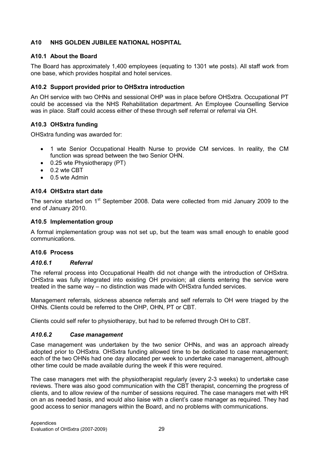### A10 NHS GOLDEN JUBILEE NATIONAL HOSPITAL

### A10.1 About the Board

The Board has approximately 1,400 employees (equating to 1301 wte posts). All staff work from one base, which provides hospital and hotel services.

### A10.2 Support provided prior to OHSxtra introduction

An OH service with two OHNs and sessional OHP was in place before OHSxtra. Occupational PT could be accessed via the NHS Rehabilitation department. An Employee Counselling Service was in place. Staff could access either of these through self referral or referral via OH.

### A10.3 OHSxtra funding

OHSxtra funding was awarded for:

- 1 wte Senior Occupational Health Nurse to provide CM services. In reality, the CM function was spread between the two Senior OHN.
- 0.25 wte Physiotherapy (PT)
- 0.2 wte CBT
- 0.5 wte Admin

#### A10.4 OHSxtra start date

The service started on 1<sup>st</sup> September 2008. Data were collected from mid January 2009 to the end of January 2010.

#### A10.5 Implementation group

A formal implementation group was not set up, but the team was small enough to enable good communications.

#### A10.6 Process

#### A10.6.1 Referral

The referral process into Occupational Health did not change with the introduction of OHSxtra. OHSxtra was fully integrated into existing OH provision; all clients entering the service were treated in the same way – no distinction was made with OHSxtra funded services.

Management referrals, sickness absence referrals and self referrals to OH were triaged by the OHNs. Clients could be referred to the OHP, OHN, PT or CBT.

Clients could self refer to physiotherapy, but had to be referred through OH to CBT.

#### A10.6.2 Case management

Case management was undertaken by the two senior OHNs, and was an approach already adopted prior to OHSxtra. OHSxtra funding allowed time to be dedicated to case management; each of the two OHNs had one day allocated per week to undertake case management, although other time could be made available during the week if this were required.

The case managers met with the physiotherapist regularly (every 2-3 weeks) to undertake case reviews. There was also good communication with the CBT therapist, concerning the progress of clients, and to allow review of the number of sessions required. The case managers met with HR on an as needed basis, and would also liaise with a client's case manager as required. They had good access to senior managers within the Board, and no problems with communications.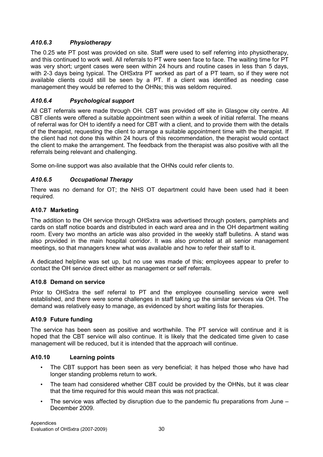### A10.6.3 Physiotherapy

The 0.25 wte PT post was provided on site. Staff were used to self referring into physiotherapy, and this continued to work well. All referrals to PT were seen face to face. The waiting time for PT was very short; urgent cases were seen within 24 hours and routine cases in less than 5 days, with 2-3 days being typical. The OHSxtra PT worked as part of a PT team, so if they were not available clients could still be seen by a PT. If a client was identified as needing case management they would be referred to the OHNs; this was seldom required.

### A10.6.4 Psychological support

All CBT referrals were made through OH. CBT was provided off site in Glasgow city centre. All CBT clients were offered a suitable appointment seen within a week of initial referral. The means of referral was for OH to identify a need for CBT with a client, and to provide them with the details of the therapist, requesting the client to arrange a suitable appointment time with the therapist. If the client had not done this within 24 hours of this recommendation, the therapist would contact the client to make the arrangement. The feedback from the therapist was also positive with all the referrals being relevant and challenging.

Some on-line support was also available that the OHNs could refer clients to.

### A10.6.5 Occupational Therapy

There was no demand for OT; the NHS OT department could have been used had it been required.

#### A10.7 Marketing

The addition to the OH service through OHSxtra was advertised through posters, pamphlets and cards on staff notice boards and distributed in each ward area and in the OH department waiting room. Every two months an article was also provided in the weekly staff bulletins. A stand was also provided in the main hospital corridor. It was also promoted at all senior management meetings, so that managers knew what was available and how to refer their staff to it.

A dedicated helpline was set up, but no use was made of this; employees appear to prefer to contact the OH service direct either as management or self referrals.

### A10.8 Demand on service

Prior to OHSxtra the self referral to PT and the employee counselling service were well established, and there were some challenges in staff taking up the similar services via OH. The demand was relatively easy to manage, as evidenced by short waiting lists for therapies.

#### A10.9 Future funding

The service has been seen as positive and worthwhile. The PT service will continue and it is hoped that the CBT service will also continue. It is likely that the dedicated time given to case management will be reduced, but it is intended that the approach will continue.

#### A10.10 Learning points

- The CBT support has been seen as very beneficial; it has helped those who have had longer standing problems return to work.
- The team had considered whether CBT could be provided by the OHNs, but it was clear that the time required for this would mean this was not practical.
- The service was affected by disruption due to the pandemic flu preparations from June  $-$ December 2009.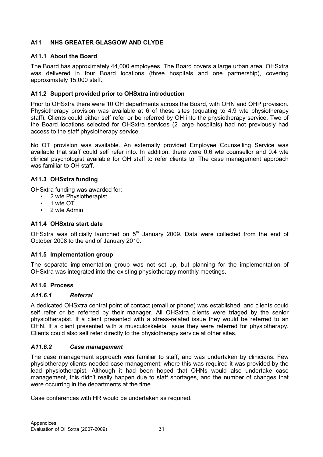### A11 NHS GREATER GLASGOW AND CLYDE

#### A11.1 About the Board

The Board has approximately 44,000 employees. The Board covers a large urban area. OHSxtra was delivered in four Board locations (three hospitals and one partnership), covering approximately 15,000 staff.

#### A11.2 Support provided prior to OHSxtra introduction

Prior to OHSxtra there were 10 OH departments across the Board, with OHN and OHP provision. Physiotherapy provision was available at 6 of these sites (equating to 4.9 wte physiotherapy staff). Clients could either self refer or be referred by OH into the physiotherapy service. Two of the Board locations selected for OHSxtra services (2 large hospitals) had not previously had access to the staff physiotherapy service.

No OT provision was available. An externally provided Employee Counselling Service was available that staff could self refer into. In addition, there were 0.6 wte counsellor and 0.4 wte clinical psychologist available for OH staff to refer clients to. The case management approach was familiar to OH staff.

#### A11.3 OHSxtra funding

OHSxtra funding was awarded for:

- 2 wte Physiotherapist
- 1 wte OT
- 2 wte Admin

#### A11.4 OHSxtra start date

OHSxtra was officially launched on  $5<sup>th</sup>$  January 2009. Data were collected from the end of October 2008 to the end of January 2010.

#### A11.5 Implementation group

The separate implementation group was not set up, but planning for the implementation of OHSxtra was integrated into the existing physiotherapy monthly meetings.

#### A11.6 Process

#### A11.6.1 Referral

A dedicated OHSxtra central point of contact (email or phone) was established, and clients could self refer or be referred by their manager. All OHSxtra clients were triaged by the senior physiotherapist. If a client presented with a stress-related issue they would be referred to an OHN. If a client presented with a musculoskeletal issue they were referred for physiotherapy. Clients could also self refer directly to the physiotherapy service at other sites.

#### A11.6.2 Case management

The case management approach was familiar to staff, and was undertaken by clinicians. Few physiotherapy clients needed case management; where this was required it was provided by the lead physiotherapist. Although it had been hoped that OHNs would also undertake case management, this didn't really happen due to staff shortages, and the number of changes that were occurring in the departments at the time.

Case conferences with HR would be undertaken as required.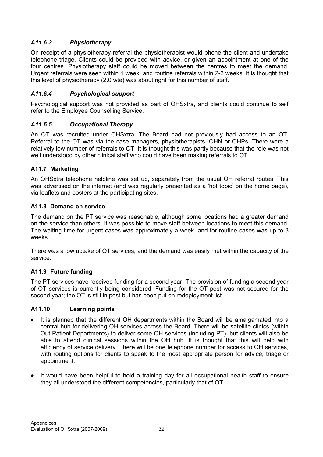### A11.6.3 Physiotherapy

On receipt of a physiotherapy referral the physiotherapist would phone the client and undertake telephone triage. Clients could be provided with advice, or given an appointment at one of the four centres. Physiotherapy staff could be moved between the centres to meet the demand. Urgent referrals were seen within 1 week, and routine referrals within 2-3 weeks. It is thought that this level of physiotherapy (2.0 wte) was about right for this number of staff.

### A11.6.4 Psychological support

Psychological support was not provided as part of OHSxtra, and clients could continue to self refer to the Employee Counselling Service.

#### A11.6.5 Occupational Therapy

An OT was recruited under OHSxtra. The Board had not previously had access to an OT. Referral to the OT was via the case managers, physiotherapists, OHN or OHPs. There were a relatively low number of referrals to OT. It is thought this was partly because that the role was not well understood by other clinical staff who could have been making referrals to OT.

#### A11.7 Marketing

An OHSxtra telephone helpline was set up, separately from the usual OH referral routes. This was advertised on the internet (and was regularly presented as a 'hot topic' on the home page), via leaflets and posters at the participating sites.

#### A11.8 Demand on service

The demand on the PT service was reasonable, although some locations had a greater demand on the service than others. It was possible to move staff between locations to meet this demand. The waiting time for urgent cases was approximately a week, and for routine cases was up to 3 weeks.

There was a low uptake of OT services, and the demand was easily met within the capacity of the service.

### A11.9 Future funding

The PT services have received funding for a second year. The provision of funding a second year of OT services is currently being considered. Funding for the OT post was not secured for the second year; the OT is still in post but has been put on redeployment list.

#### A11.10 Learning points

- It is planned that the different OH departments within the Board will be amalgamated into a central hub for delivering OH services across the Board. There will be satellite clinics (within Out Patient Departments) to deliver some OH services (including PT), but clients will also be able to attend clinical sessions within the OH hub. It is thought that this will help with efficiency of service delivery. There will be one telephone number for access to OH services, with routing options for clients to speak to the most appropriate person for advice, triage or appointment.
- It would have been helpful to hold a training day for all occupational health staff to ensure they all understood the different competencies, particularly that of OT.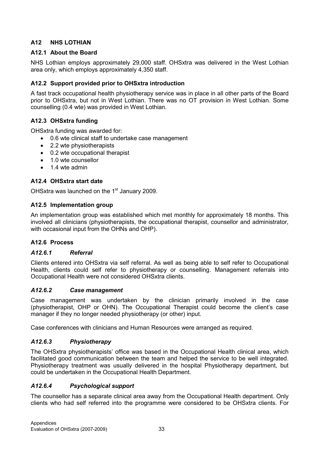### A12 NHS LOTHIAN

### A12.1 About the Board

NHS Lothian employs approximately 29,000 staff. OHSxtra was delivered in the West Lothian area only, which employs approximately 4,350 staff.

### A12.2 Support provided prior to OHSxtra introduction

A fast track occupational health physiotherapy service was in place in all other parts of the Board prior to OHSxtra, but not in West Lothian. There was no OT provision in West Lothian. Some counselling (0.4 wte) was provided in West Lothian.

### A12.3 OHSxtra funding

OHSxtra funding was awarded for:

- 0.6 wte clinical staff to undertake case management
- 2.2 wte physiotherapists
- 0.2 wte occupational therapist
- 1.0 wte counsellor
- 1.4 wte admin

### A12.4 OHSxtra start date

OHSxtra was launched on the 1<sup>st</sup> January 2009.

#### A12.5 Implementation group

An implementation group was established which met monthly for approximately 18 months. This involved all clinicians (physiotherapists, the occupational therapist, counsellor and administrator, with occasional input from the OHNs and OHP).

### A12.6 Process

#### A12.6.1 Referral

Clients entered into OHSxtra via self referral. As well as being able to self refer to Occupational Health, clients could self refer to physiotherapy or counselling. Management referrals into Occupational Health were not considered OHSxtra clients.

#### A12.6.2 Case management

Case management was undertaken by the clinician primarily involved in the case (physiotherapist, OHP or OHN). The Occupational Therapist could become the client's case manager if they no longer needed physiotherapy (or other) input.

Case conferences with clinicians and Human Resources were arranged as required.

### A12.6.3 Physiotherapy

The OHSxtra physiotherapists' office was based in the Occupational Health clinical area, which facilitated good communication between the team and helped the service to be well integrated. Physiotherapy treatment was usually delivered in the hospital Physiotherapy department, but could be undertaken in the Occupational Health Department.

### A12.6.4 Psychological support

The counsellor has a separate clinical area away from the Occupational Health department. Only clients who had self referred into the programme were considered to be OHSxtra clients. For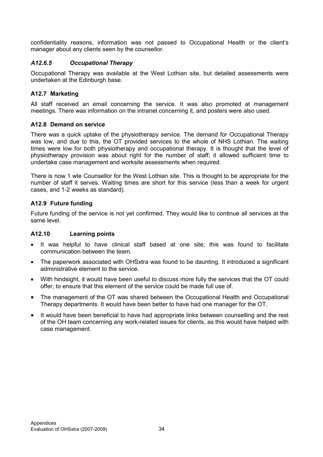confidentiality reasons, information was not passed to Occupational Health or the client's manager about any clients seen by the counsellor.

### A12.6.5 Occupational Therapy

Occupational Therapy was available at the West Lothian site, but detailed assessments were undertaken at the Edinburgh base.

#### A12.7 Marketing

All staff received an email concerning the service. It was also promoted at management meetings. There was information on the intranet concerning it, and posters were also used.

#### A12.8 Demand on service

There was a quick uptake of the physiotherapy service. The demand for Occupational Therapy was low, and due to this, the OT provided services to the whole of NHS Lothian. The waiting times were low for both physiotherapy and occupational therapy. It is thought that the level of physiotherapy provision was about right for the number of staff; it allowed sufficient time to undertake case management and worksite assessments when required.

There is now 1 wte Counsellor for the West Lothian site. This is thought to be appropriate for the number of staff it serves. Waiting times are short for this service (less than a week for urgent cases, and 1-2 weeks as standard).

#### A12.9 Future funding

Future funding of the service is not yet confirmed. They would like to continue all services at the same level.

#### A12.10 Learning points

- It was helpful to have clinical staff based at one site; this was found to facilitate communication between the team.
- The paperwork associated with OHSxtra was found to be daunting. It introduced a significant administrative element to the service.
- With hindsight, it would have been useful to discuss more fully the services that the OT could offer, to ensure that this element of the service could be made full use of.
- The management of the OT was shared between the Occupational Health and Occupational Therapy departments. It would have been better to have had one manager for the OT.
- It would have been beneficial to have had appropriate links between counselling and the rest of the OH team concerning any work-related issues for clients, as this would have helped with case management.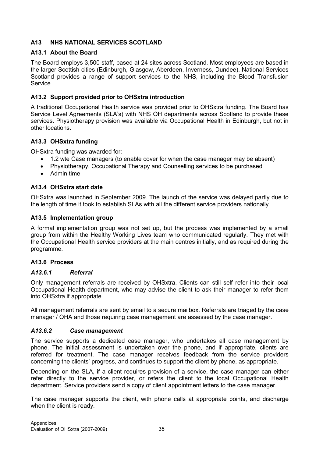### A13 NHS NATIONAL SERVICES SCOTLAND

#### A13.1 About the Board

The Board employs 3,500 staff, based at 24 sites across Scotland. Most employees are based in the larger Scottish cities (Edinburgh, Glasgow, Aberdeen, Inverness, Dundee). National Services Scotland provides a range of support services to the NHS, including the Blood Transfusion Service.

### A13.2 Support provided prior to OHSxtra introduction

A traditional Occupational Health service was provided prior to OHSxtra funding. The Board has Service Level Agreements (SLA's) with NHS OH departments across Scotland to provide these services. Physiotherapy provision was available via Occupational Health in Edinburgh, but not in other locations.

#### A13.3 OHSxtra funding

OHSxtra funding was awarded for:

- 1.2 wte Case managers (to enable cover for when the case manager may be absent)
- Physiotherapy, Occupational Therapy and Counselling services to be purchased
- Admin time

#### A13.4 OHSxtra start date

OHSxtra was launched in September 2009. The launch of the service was delayed partly due to the length of time it took to establish SLAs with all the different service providers nationally.

#### A13.5 Implementation group

A formal implementation group was not set up, but the process was implemented by a small group from within the Healthy Working Lives team who communicated regularly. They met with the Occupational Health service providers at the main centres initially, and as required during the programme.

#### A13.6 Process

#### A13.6.1 Referral

Only management referrals are received by OHSxtra. Clients can still self refer into their local Occupational Health department, who may advise the client to ask their manager to refer them into OHSxtra if appropriate.

All management referrals are sent by email to a secure mailbox. Referrals are triaged by the case manager / OHA and those requiring case management are assessed by the case manager.

#### A13.6.2 Case management

The service supports a dedicated case manager, who undertakes all case management by phone. The initial assessment is undertaken over the phone, and if appropriate, clients are referred for treatment. The case manager receives feedback from the service providers concerning the clients' progress, and continues to support the client by phone, as appropriate.

Depending on the SLA, if a client requires provision of a service, the case manager can either refer directly to the service provider, or refers the client to the local Occupational Health department. Service providers send a copy of client appointment letters to the case manager.

The case manager supports the client, with phone calls at appropriate points, and discharge when the client is ready.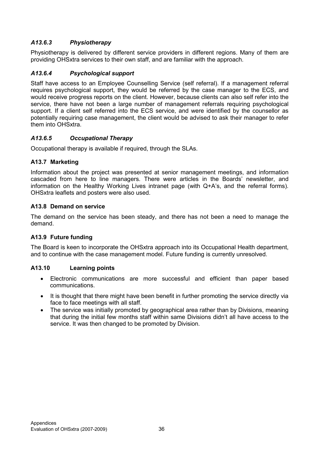### A13.6.3 Physiotherapy

Physiotherapy is delivered by different service providers in different regions. Many of them are providing OHSxtra services to their own staff, and are familiar with the approach.

### A13.6.4 Psychological support

Staff have access to an Employee Counselling Service (self referral). If a management referral requires psychological support, they would be referred by the case manager to the ECS, and would receive progress reports on the client. However, because clients can also self refer into the service, there have not been a large number of management referrals requiring psychological support. If a client self referred into the ECS service, and were identified by the counsellor as potentially requiring case management, the client would be advised to ask their manager to refer them into OHSxtra.

#### A13.6.5 Occupational Therapy

Occupational therapy is available if required, through the SLAs.

#### A13.7 Marketing

Information about the project was presented at senior management meetings, and information cascaded from here to line managers. There were articles in the Boards' newsletter, and information on the Healthy Working Lives intranet page (with Q+A's, and the referral forms). OHSxtra leaflets and posters were also used.

#### A13.8 Demand on service

The demand on the service has been steady, and there has not been a need to manage the demand.

#### A13.9 Future funding

The Board is keen to incorporate the OHSxtra approach into its Occupational Health department, and to continue with the case management model. Future funding is currently unresolved.

#### A13.10 Learning points

- Electronic communications are more successful and efficient than paper based communications.
- It is thought that there might have been benefit in further promoting the service directly via face to face meetings with all staff.
- The service was initially promoted by geographical area rather than by Divisions, meaning that during the initial few months staff within same Divisions didn't all have access to the service. It was then changed to be promoted by Division.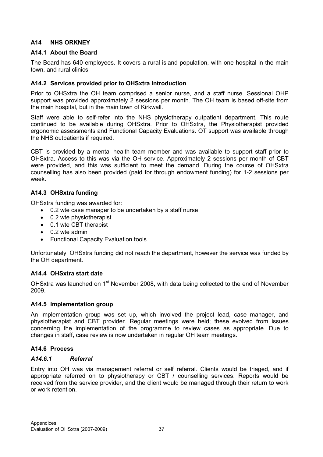### A14 NHS ORKNEY

#### A14.1 About the Board

The Board has 640 employees. It covers a rural island population, with one hospital in the main town, and rural clinics.

#### A14.2 Services provided prior to OHSxtra introduction

Prior to OHSxtra the OH team comprised a senior nurse, and a staff nurse. Sessional OHP support was provided approximately 2 sessions per month. The OH team is based off-site from the main hospital, but in the main town of Kirkwall.

Staff were able to self-refer into the NHS physiotherapy outpatient department. This route continued to be available during OHSxtra. Prior to OHSxtra, the Physiotherapist provided ergonomic assessments and Functional Capacity Evaluations. OT support was available through the NHS outpatients if required.

CBT is provided by a mental health team member and was available to support staff prior to OHSxtra. Access to this was via the OH service. Approximately 2 sessions per month of CBT were provided, and this was sufficient to meet the demand. During the course of OHSxtra counselling has also been provided (paid for through endowment funding) for 1-2 sessions per week.

#### A14.3 OHSxtra funding

OHSxtra funding was awarded for:

- 0.2 wte case manager to be undertaken by a staff nurse
- 0.2 wte physiotherapist
- 0.1 wte CBT therapist
- 0.2 wte admin
- Functional Capacity Evaluation tools

Unfortunately, OHSxtra funding did not reach the department, however the service was funded by the OH department.

#### A14.4 OHSxtra start date

OHSxtra was launched on 1<sup>st</sup> November 2008, with data being collected to the end of November 2009.

#### A14.5 Implementation group

An implementation group was set up, which involved the project lead, case manager, and physiotherapist and CBT provider. Regular meetings were held; these evolved from issues concerning the implementation of the programme to review cases as appropriate. Due to changes in staff, case review is now undertaken in regular OH team meetings.

#### A14.6 Process

#### A14.6.1 Referral

Entry into OH was via management referral or self referral. Clients would be triaged, and if appropriate referred on to physiotherapy or CBT / counselling services. Reports would be received from the service provider, and the client would be managed through their return to work or work retention.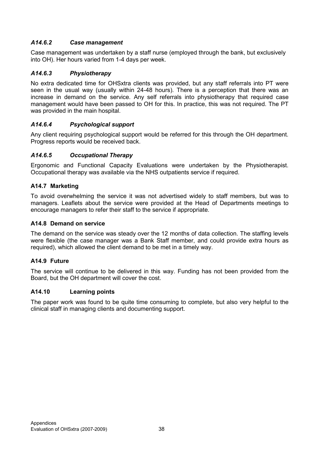### A14.6.2 Case management

Case management was undertaken by a staff nurse (employed through the bank, but exclusively into OH). Her hours varied from 1-4 days per week.

### A14.6.3 Physiotherapy

No extra dedicated time for OHSxtra clients was provided, but any staff referrals into PT were seen in the usual way (usually within 24-48 hours). There is a perception that there was an increase in demand on the service. Any self referrals into physiotherapy that required case management would have been passed to OH for this. In practice, this was not required. The PT was provided in the main hospital.

### A14.6.4 Psychological support

Any client requiring psychological support would be referred for this through the OH department. Progress reports would be received back.

### A14.6.5 Occupational Therapy

Ergonomic and Functional Capacity Evaluations were undertaken by the Physiotherapist. Occupational therapy was available via the NHS outpatients service if required.

### A14.7 Marketing

To avoid overwhelming the service it was not advertised widely to staff members, but was to managers. Leaflets about the service were provided at the Head of Departments meetings to encourage managers to refer their staff to the service if appropriate.

### A14.8 Demand on service

The demand on the service was steady over the 12 months of data collection. The staffing levels were flexible (the case manager was a Bank Staff member, and could provide extra hours as required), which allowed the client demand to be met in a timely way.

### A14.9 Future

The service will continue to be delivered in this way. Funding has not been provided from the Board, but the OH department will cover the cost.

### A14.10 Learning points

The paper work was found to be quite time consuming to complete, but also very helpful to the clinical staff in managing clients and documenting support.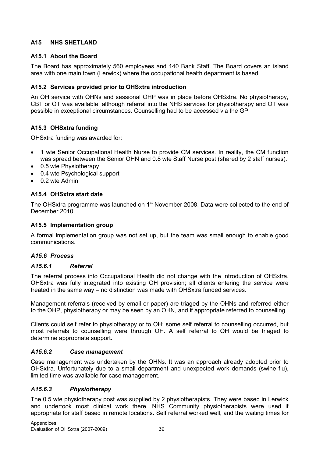### A15 NHS SHETLAND

### A15.1 About the Board

The Board has approximately 560 employees and 140 Bank Staff. The Board covers an island area with one main town (Lerwick) where the occupational health department is based.

### A15.2 Services provided prior to OHSxtra introduction

An OH service with OHNs and sessional OHP was in place before OHSxtra. No physiotherapy, CBT or OT was available, although referral into the NHS services for physiotherapy and OT was possible in exceptional circumstances. Counselling had to be accessed via the GP.

### A15.3 OHSxtra funding

OHSxtra funding was awarded for:

- 1 wte Senior Occupational Health Nurse to provide CM services. In reality, the CM function was spread between the Senior OHN and 0.8 wte Staff Nurse post (shared by 2 staff nurses).
- 0.5 wte Physiotherapy
- 0.4 wte Psychological support
- 0.2 wte Admin

### A15.4 OHSxtra start date

The OHSxtra programme was launched on 1<sup>st</sup> November 2008. Data were collected to the end of December 2010.

#### A15.5 Implementation group

A formal implementation group was not set up, but the team was small enough to enable good communications.

#### A15.6 Process

#### A15.6.1 Referral

The referral process into Occupational Health did not change with the introduction of OHSxtra. OHSxtra was fully integrated into existing OH provision; all clients entering the service were treated in the same way – no distinction was made with OHSxtra funded services.

Management referrals (received by email or paper) are triaged by the OHNs and referred either to the OHP, physiotherapy or may be seen by an OHN, and if appropriate referred to counselling.

Clients could self refer to physiotherapy or to OH; some self referral to counselling occurred, but most referrals to counselling were through OH. A self referral to OH would be triaged to determine appropriate support.

#### A15.6.2 Case management

Case management was undertaken by the OHNs. It was an approach already adopted prior to OHSxtra. Unfortunately due to a small department and unexpected work demands (swine flu), limited time was available for case management.

### A15.6.3 Physiotherapy

The 0.5 wte physiotherapy post was supplied by 2 physiotherapists. They were based in Lerwick and undertook most clinical work there. NHS Community physiotherapists were used if appropriate for staff based in remote locations. Self referral worked well, and the waiting times for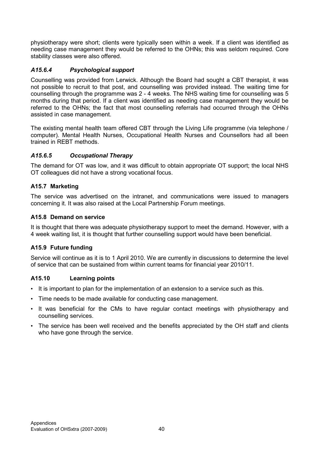physiotherapy were short; clients were typically seen within a week. If a client was identified as needing case management they would be referred to the OHNs; this was seldom required. Core stability classes were also offered.

### A15.6.4 Psychological support

Counselling was provided from Lerwick. Although the Board had sought a CBT therapist, it was not possible to recruit to that post, and counselling was provided instead. The waiting time for counselling through the programme was 2 - 4 weeks. The NHS waiting time for counselling was 5 months during that period. If a client was identified as needing case management they would be referred to the OHNs; the fact that most counselling referrals had occurred through the OHNs assisted in case management.

The existing mental health team offered CBT through the Living Life programme (via telephone / computer). Mental Health Nurses, Occupational Health Nurses and Counsellors had all been trained in REBT methods.

### A15.6.5 Occupational Therapy

The demand for OT was low, and it was difficult to obtain appropriate OT support; the local NHS OT colleagues did not have a strong vocational focus.

### A15.7 Marketing

The service was advertised on the intranet, and communications were issued to managers concerning it. It was also raised at the Local Partnership Forum meetings.

### A15.8 Demand on service

It is thought that there was adequate physiotherapy support to meet the demand. However, with a 4 week waiting list, it is thought that further counselling support would have been beneficial.

### A15.9 Future funding

Service will continue as it is to 1 April 2010. We are currently in discussions to determine the level of service that can be sustained from within current teams for financial year 2010/11.

### A15.10 Learning points

- It is important to plan for the implementation of an extension to a service such as this.
- Time needs to be made available for conducting case management.
- It was beneficial for the CMs to have regular contact meetings with physiotherapy and counselling services.
- The service has been well received and the benefits appreciated by the OH staff and clients who have gone through the service.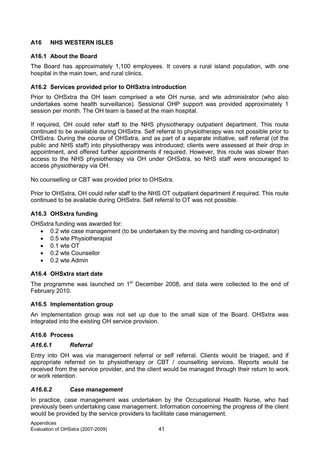### A16 NHS WESTERN ISLES

#### A16.1 About the Board

The Board has approximately 1,100 employees. It covers a rural island population, with one hospital in the main town, and rural clinics.

#### A16.2 Services provided prior to OHSxtra introduction

Prior to OHSxtra the OH team comprised a wte OH nurse, and wte administrator (who also undertakes some health surveillance). Sessional OHP support was provided approximately 1 session per month. The OH team is based at the main hospital.

If required, OH could refer staff to the NHS physiotherapy outpatient department. This route continued to be available during OHSxtra. Self referral to physiotherapy was not possible prior to OHSxtra. During the course of OHSxtra, and as part of a separate initiative, self referral (of the public and NHS staff) into physiotherapy was introduced; clients were assessed at their drop in appointment, and offered further appointments if required. However, this route was slower than access to the NHS physiotherapy via OH under OHSxtra, so NHS staff were encouraged to access physiotherapy via OH.

No counselling or CBT was provided prior to OHSxtra.

Prior to OHSxtra, OH could refer staff to the NHS OT outpatient department if required. This route continued to be available during OHSxtra. Self referral to OT was not possible.

#### A16.3 OHSxtra funding

OHSxtra funding was awarded for:

- 0.2 wte case management (to be undertaken by the moving and handling co-ordinator)
- 0.5 wte Physiotherapist
- 0.1 wte OT
- 0.2 wte Counsellor
- 0.2 wte Admin

#### A16.4 OHSxtra start date

The programme was launched on 1<sup>st</sup> December 2008, and data were collected to the end of February 2010.

#### A16.5 Implementation group

An implementation group was not set up due to the small size of the Board. OHSxtra was integrated into the existing OH service provision.

#### A16.6 Process

#### A16.6.1 Referral

Entry into OH was via management referral or self referral. Clients would be triaged, and if appropriate referred on to physiotherapy or CBT / counselling services. Reports would be received from the service provider, and the client would be managed through their return to work or work retention.

#### A16.6.2 Case management

In practice, case management was undertaken by the Occupational Health Nurse, who had previously been undertaking case management. Information concerning the progress of the client would be provided by the service providers to facilitate case management.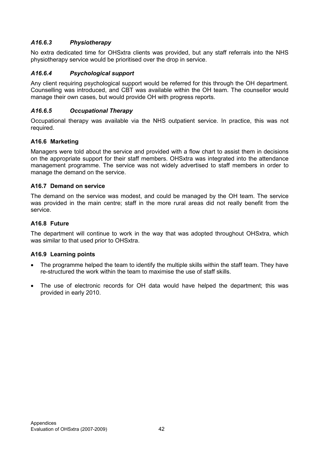### A16.6.3 Physiotherapy

No extra dedicated time for OHSxtra clients was provided, but any staff referrals into the NHS physiotherapy service would be prioritised over the drop in service.

### A16.6.4 Psychological support

Any client requiring psychological support would be referred for this through the OH department. Counselling was introduced, and CBT was available within the OH team. The counsellor would manage their own cases, but would provide OH with progress reports.

#### A16.6.5 Occupational Therapy

Occupational therapy was available via the NHS outpatient service. In practice, this was not required.

#### A16.6 Marketing

Managers were told about the service and provided with a flow chart to assist them in decisions on the appropriate support for their staff members. OHSxtra was integrated into the attendance management programme. The service was not widely advertised to staff members in order to manage the demand on the service.

#### A16.7 Demand on service

The demand on the service was modest, and could be managed by the OH team. The service was provided in the main centre; staff in the more rural areas did not really benefit from the service.

#### A16.8 Future

The department will continue to work in the way that was adopted throughout OHSxtra, which was similar to that used prior to OHSxtra.

#### A16.9 Learning points

- The programme helped the team to identify the multiple skills within the staff team. They have re-structured the work within the team to maximise the use of staff skills.
- The use of electronic records for OH data would have helped the department; this was provided in early 2010.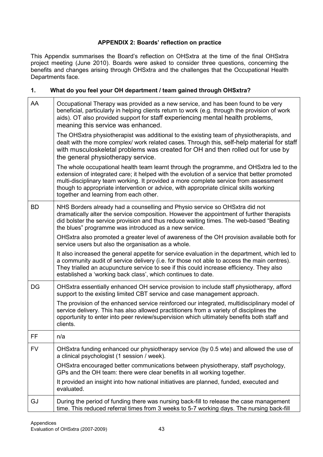### APPENDIX 2: Boards' reflection on practice

This Appendix summarises the Board's reflection on OHSxtra at the time of the final OHSxtra project meeting (June 2010). Boards were asked to consider three questions, concerning the benefits and changes arising through OHSxtra and the challenges that the Occupational Health Departments face.

### 1. What do you feel your OH department / team gained through OHSxtra?

| AA        | Occupational Therapy was provided as a new service, and has been found to be very<br>beneficial, particularly in helping clients return to work (e.g. through the provision of work<br>aids). OT also provided support for staff experiencing mental health problems,<br>meaning this service was enhanced.                                                                                                         |
|-----------|---------------------------------------------------------------------------------------------------------------------------------------------------------------------------------------------------------------------------------------------------------------------------------------------------------------------------------------------------------------------------------------------------------------------|
|           | The OHSxtra physiotherapist was additional to the existing team of physiotherapists, and<br>dealt with the more complex/ work related cases. Through this, self-help material for staff<br>with musculoskeletal problems was created for OH and then rolled out for use by<br>the general physiotherapy service.                                                                                                    |
|           | The whole occupational health team learnt through the programme, and OHSxtra led to the<br>extension of integrated care; it helped with the evolution of a service that better promoted<br>multi-disciplinary team working. It provided a more complete service from assessment<br>though to appropriate intervention or advice, with appropriate clinical skills working<br>together and learning from each other. |
| <b>BD</b> | NHS Borders already had a counselling and Physio service so OHSxtra did not<br>dramatically alter the service composition. However the appointment of further therapists<br>did bolster the service provision and thus reduce waiting times. The web-based "Beating<br>the blues" programme was introduced as a new service.                                                                                        |
|           | OHSxtra also promoted a greater level of awareness of the OH provision available both for<br>service users but also the organisation as a whole.                                                                                                                                                                                                                                                                    |
|           | It also increased the general appetite for service evaluation in the department, which led to<br>a community audit of service delivery (i.e. for those not able to access the main centres).<br>They trialled an acupuncture service to see if this could increase efficiency. They also<br>established a 'working back class', which continues to date.                                                            |
| DG        | OHSxtra essentially enhanced OH service provision to include staff physiotherapy, afford<br>support to the existing limited CBT service and case management approach.                                                                                                                                                                                                                                               |
|           | The provision of the enhanced service reinforced our integrated, multidisciplinary model of<br>service delivery. This has also allowed practitioners from a variety of disciplines the<br>opportunity to enter into peer review/supervision which ultimately benefits both staff and<br>clients.                                                                                                                    |
| FF        | n/a                                                                                                                                                                                                                                                                                                                                                                                                                 |
| <b>FV</b> | OHSxtra funding enhanced our physiotherapy service (by 0.5 wte) and allowed the use of<br>a clinical psychologist (1 session / week).                                                                                                                                                                                                                                                                               |
|           | OHSxtra encouraged better communications between physiotherapy, staff psychology,<br>GPs and the OH team: there were clear benefits in all working together.                                                                                                                                                                                                                                                        |
|           | It provided an insight into how national initiatives are planned, funded, executed and<br>evaluated.                                                                                                                                                                                                                                                                                                                |
| GJ        | During the period of funding there was nursing back-fill to release the case management<br>time. This reduced referral times from 3 weeks to 5-7 working days. The nursing back-fill                                                                                                                                                                                                                                |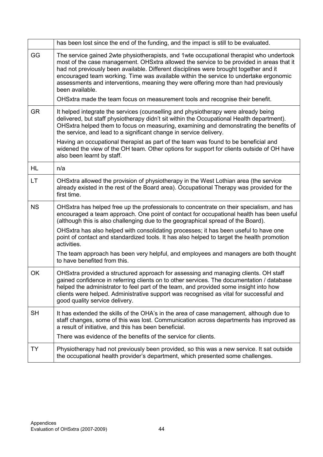|           | has been lost since the end of the funding, and the impact is still to be evaluated.                                                                                                                                                                                                                                                                                                                                                                                           |
|-----------|--------------------------------------------------------------------------------------------------------------------------------------------------------------------------------------------------------------------------------------------------------------------------------------------------------------------------------------------------------------------------------------------------------------------------------------------------------------------------------|
| GG        | The service gained 2wte physiotherapists, and 1wte occupational therapist who undertook<br>most of the case management. OHSxtra allowed the service to be provided in areas that it<br>had not previously been available. Different disciplines were brought together and it<br>encouraged team working. Time was available within the service to undertake ergonomic<br>assessments and interventions, meaning they were offering more than had previously<br>been available. |
|           | OHSxtra made the team focus on measurement tools and recognise their benefit.                                                                                                                                                                                                                                                                                                                                                                                                  |
| <b>GR</b> | It helped integrate the services (counselling and physiotherapy were already being<br>delivered, but staff physiotherapy didn't sit within the Occupational Health department).<br>OHSxtra helped them to focus on measuring, examining and demonstrating the benefits of<br>the service, and lead to a significant change in service delivery.                                                                                                                                |
|           | Having an occupational therapist as part of the team was found to be beneficial and<br>widened the view of the OH team. Other options for support for clients outside of OH have<br>also been learnt by staff.                                                                                                                                                                                                                                                                 |
| HL        | n/a                                                                                                                                                                                                                                                                                                                                                                                                                                                                            |
| LT.       | OHSxtra allowed the provision of physiotherapy in the West Lothian area (the service<br>already existed in the rest of the Board area). Occupational Therapy was provided for the<br>first time.                                                                                                                                                                                                                                                                               |
| <b>NS</b> | OHSxtra has helped free up the professionals to concentrate on their specialism, and has<br>encouraged a team approach. One point of contact for occupational health has been useful<br>(although this is also challenging due to the geographical spread of the Board).                                                                                                                                                                                                       |
|           | OHSxtra has also helped with consolidating processes; it has been useful to have one<br>point of contact and standardized tools. It has also helped to target the health promotion<br>activities.                                                                                                                                                                                                                                                                              |
|           | The team approach has been very helpful, and employees and managers are both thought<br>to have benefited from this.                                                                                                                                                                                                                                                                                                                                                           |
| OK        | OHSxtra provided a structured approach for assessing and managing clients. OH staff<br>gained confidence in referring clients on to other services. The documentation / database<br>helped the administrator to feel part of the team, and provided some insight into how<br>clients were helped. Administrative support was recognised as vital for successful and<br>good quality service delivery.                                                                          |
| <b>SH</b> | It has extended the skills of the OHA's in the area of case management, although due to<br>staff changes, some of this was lost. Communication across departments has improved as<br>a result of initiative, and this has been beneficial.                                                                                                                                                                                                                                     |
|           | There was evidence of the benefits of the service for clients.                                                                                                                                                                                                                                                                                                                                                                                                                 |
| TΥ        | Physiotherapy had not previously been provided, so this was a new service. It sat outside<br>the occupational health provider's department, which presented some challenges.                                                                                                                                                                                                                                                                                                   |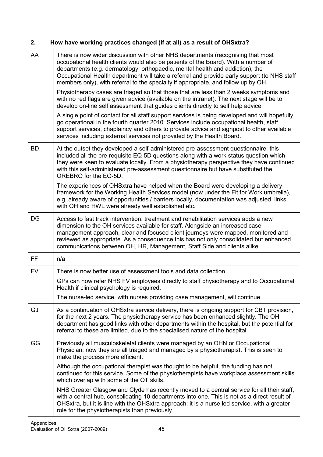## 2. How have working practices changed (if at all) as a result of OHSxtra?

| AA        | There is now wider discussion with other NHS departments (recognising that most<br>occupational health clients would also be patients of the Board). With a number of<br>departments (e.g. dermatology, orthopaedic, mental health and addiction), the<br>Occupational Health department will take a referral and provide early support (to NHS staff<br>members only), with referral to the specialty if appropriate, and follow up by OH.<br>Physiotherapy cases are triaged so that those that are less than 2 weeks symptoms and<br>with no red flags are given advice (available on the intranet). The next stage will be to<br>develop on-line self assessment that guides clients directly to self help advice.<br>A single point of contact for all staff support services is being developed and will hopefully<br>go operational in the fourth quarter 2010. Services include occupational health, staff<br>support services, chaplaincy and others to provide advice and signpost to other available |
|-----------|-----------------------------------------------------------------------------------------------------------------------------------------------------------------------------------------------------------------------------------------------------------------------------------------------------------------------------------------------------------------------------------------------------------------------------------------------------------------------------------------------------------------------------------------------------------------------------------------------------------------------------------------------------------------------------------------------------------------------------------------------------------------------------------------------------------------------------------------------------------------------------------------------------------------------------------------------------------------------------------------------------------------|
|           | services including external services not provided by the Health Board.                                                                                                                                                                                                                                                                                                                                                                                                                                                                                                                                                                                                                                                                                                                                                                                                                                                                                                                                          |
| <b>BD</b> | At the outset they developed a self-administered pre-assessment questionnaire; this<br>included all the pre-requisite EQ-5D questions along with a work status question which<br>they were keen to evaluate locally. From a physiotherapy perspective they have continued<br>with this self-administered pre-assessment questionnaire but have substituted the<br>OREBRO for the EQ-5D.                                                                                                                                                                                                                                                                                                                                                                                                                                                                                                                                                                                                                         |
|           | The experiences of OHSxtra have helped when the Board were developing a delivery<br>framework for the Working Health Services model (now under the Fit for Work umbrella),<br>e.g. already aware of opportunities / barriers locally, documentation was adjusted, links<br>with OH and HWL were already well established etc.                                                                                                                                                                                                                                                                                                                                                                                                                                                                                                                                                                                                                                                                                   |
| DG        | Access to fast track intervention, treatment and rehabilitation services adds a new<br>dimension to the OH services available for staff. Alongside an increased case<br>management approach, clear and focused client journeys were mapped, monitored and<br>reviewed as appropriate. As a consequence this has not only consolidated but enhanced<br>communications between OH, HR, Management, Staff Side and clients alike.                                                                                                                                                                                                                                                                                                                                                                                                                                                                                                                                                                                  |
| FF.       | n/a                                                                                                                                                                                                                                                                                                                                                                                                                                                                                                                                                                                                                                                                                                                                                                                                                                                                                                                                                                                                             |
| <b>FV</b> | There is now better use of assessment tools and data collection.                                                                                                                                                                                                                                                                                                                                                                                                                                                                                                                                                                                                                                                                                                                                                                                                                                                                                                                                                |
|           | GPs can now refer NHS FV employees directly to staff physiotherapy and to Occupational<br>Health if clinical psychology is required.                                                                                                                                                                                                                                                                                                                                                                                                                                                                                                                                                                                                                                                                                                                                                                                                                                                                            |
|           | The nurse-led service, with nurses providing case management, will continue.                                                                                                                                                                                                                                                                                                                                                                                                                                                                                                                                                                                                                                                                                                                                                                                                                                                                                                                                    |
| GJ        | As a continuation of OHSxtra service delivery, there is ongoing support for CBT provision,<br>for the next 2 years. The physiotherapy service has been enhanced slightly. The OH<br>department has good links with other departments within the hospital, but the potential for<br>referral to these are limited, due to the specialised nature of the hospital.                                                                                                                                                                                                                                                                                                                                                                                                                                                                                                                                                                                                                                                |
| GG        | Previously all musculoskeletal clients were managed by an OHN or Occupational<br>Physician; now they are all triaged and managed by a physiotherapist. This is seen to<br>make the process more efficient.                                                                                                                                                                                                                                                                                                                                                                                                                                                                                                                                                                                                                                                                                                                                                                                                      |
|           | Although the occupational therapist was thought to be helpful, the funding has not<br>continued for this service. Some of the physiotherapists have workplace assessment skills<br>which overlap with some of the OT skills.                                                                                                                                                                                                                                                                                                                                                                                                                                                                                                                                                                                                                                                                                                                                                                                    |
|           | NHS Greater Glasgow and Clyde has recently moved to a central service for all their staff,<br>with a central hub, consolidating 10 departments into one. This is not as a direct result of<br>OHSxtra, but it is line with the OHSxtra approach; it is a nurse led service, with a greater<br>role for the physiotherapists than previously.                                                                                                                                                                                                                                                                                                                                                                                                                                                                                                                                                                                                                                                                    |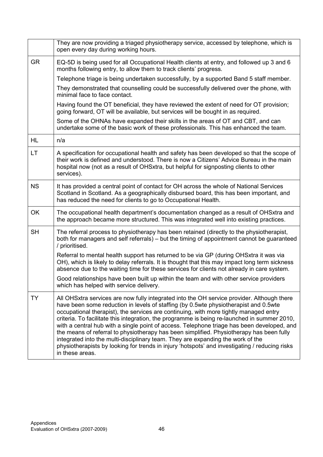|           | They are now providing a triaged physiotherapy service, accessed by telephone, which is<br>open every day during working hours.                                                                                                                                                                                                                                                                                                                                                                                                                                                                                                                                                                                                                                               |
|-----------|-------------------------------------------------------------------------------------------------------------------------------------------------------------------------------------------------------------------------------------------------------------------------------------------------------------------------------------------------------------------------------------------------------------------------------------------------------------------------------------------------------------------------------------------------------------------------------------------------------------------------------------------------------------------------------------------------------------------------------------------------------------------------------|
| <b>GR</b> | EQ-5D is being used for all Occupational Health clients at entry, and followed up 3 and 6<br>months following entry, to allow them to track clients' progress.                                                                                                                                                                                                                                                                                                                                                                                                                                                                                                                                                                                                                |
|           | Telephone triage is being undertaken successfully, by a supported Band 5 staff member.                                                                                                                                                                                                                                                                                                                                                                                                                                                                                                                                                                                                                                                                                        |
|           | They demonstrated that counselling could be successfully delivered over the phone, with<br>minimal face to face contact.                                                                                                                                                                                                                                                                                                                                                                                                                                                                                                                                                                                                                                                      |
|           | Having found the OT beneficial, they have reviewed the extent of need for OT provision;<br>going forward, OT will be available, but services will be bought in as required.                                                                                                                                                                                                                                                                                                                                                                                                                                                                                                                                                                                                   |
|           | Some of the OHNAs have expanded their skills in the areas of OT and CBT, and can<br>undertake some of the basic work of these professionals. This has enhanced the team.                                                                                                                                                                                                                                                                                                                                                                                                                                                                                                                                                                                                      |
| HL        | n/a                                                                                                                                                                                                                                                                                                                                                                                                                                                                                                                                                                                                                                                                                                                                                                           |
| LT        | A specification for occupational health and safety has been developed so that the scope of<br>their work is defined and understood. There is now a Citizens' Advice Bureau in the main<br>hospital now (not as a result of OHSxtra, but helpful for signposting clients to other<br>services).                                                                                                                                                                                                                                                                                                                                                                                                                                                                                |
| <b>NS</b> | It has provided a central point of contact for OH across the whole of National Services<br>Scotland in Scotland. As a geographically disbursed board, this has been important, and<br>has reduced the need for clients to go to Occupational Health.                                                                                                                                                                                                                                                                                                                                                                                                                                                                                                                          |
| <b>OK</b> | The occupational health department's documentation changed as a result of OHSxtra and<br>the approach became more structured. This was integrated well into existing practices.                                                                                                                                                                                                                                                                                                                                                                                                                                                                                                                                                                                               |
| <b>SH</b> | The referral process to physiotherapy has been retained (directly to the physiotherapist,<br>both for managers and self referrals) – but the timing of appointment cannot be guaranteed<br>/ prioritised.                                                                                                                                                                                                                                                                                                                                                                                                                                                                                                                                                                     |
|           | Referral to mental health support has returned to be via GP (during OHSxtra it was via<br>OH), which is likely to delay referrals. It is thought that this may impact long term sickness<br>absence due to the waiting time for these services for clients not already in care system.                                                                                                                                                                                                                                                                                                                                                                                                                                                                                        |
|           | Good relationships have been built up within the team and with other service providers<br>which has helped with service delivery.                                                                                                                                                                                                                                                                                                                                                                                                                                                                                                                                                                                                                                             |
| TY        | All OHSxtra services are now fully integrated into the OH service provider. Although there<br>have been some reduction in levels of staffing (by 0.5wte physiotherapist and 0.5wte<br>occupational therapist), the services are continuing, with more tightly managed entry<br>criteria. To facilitate this integration, the programme is being re-launched in summer 2010,<br>with a central hub with a single point of access. Telephone triage has been developed, and<br>the means of referral to physiotherapy has been simplified. Physiotherapy has been fully<br>integrated into the multi-disciplinary team. They are expanding the work of the<br>physiotherapists by looking for trends in injury 'hotspots' and investigating / reducing risks<br>in these areas. |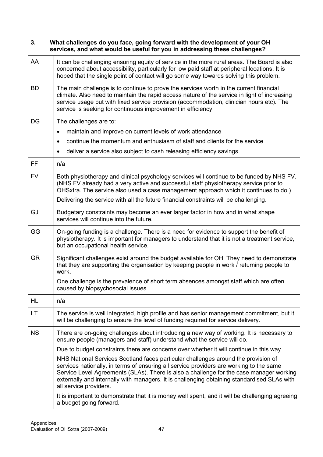#### 3. What challenges do you face, going forward with the development of your OH services, and what would be useful for you in addressing these challenges?

| AA        | It can be challenging ensuring equity of service in the more rural areas. The Board is also<br>concerned about accessibility, particularly for low paid staff at peripheral locations. It is<br>hoped that the single point of contact will go some way towards solving this problem.                                                                                                             |
|-----------|---------------------------------------------------------------------------------------------------------------------------------------------------------------------------------------------------------------------------------------------------------------------------------------------------------------------------------------------------------------------------------------------------|
| <b>BD</b> | The main challenge is to continue to prove the services worth in the current financial<br>climate. Also need to maintain the rapid access nature of the service in light of increasing<br>service usage but with fixed service provision (accommodation, clinician hours etc). The<br>service is seeking for continuous improvement in efficiency.                                                |
| DG        | The challenges are to:                                                                                                                                                                                                                                                                                                                                                                            |
|           | maintain and improve on current levels of work attendance<br>$\bullet$                                                                                                                                                                                                                                                                                                                            |
|           | continue the momentum and enthusiasm of staff and clients for the service<br>$\bullet$                                                                                                                                                                                                                                                                                                            |
|           | deliver a service also subject to cash releasing efficiency savings.<br>$\bullet$                                                                                                                                                                                                                                                                                                                 |
| FF.       | n/a                                                                                                                                                                                                                                                                                                                                                                                               |
| <b>FV</b> | Both physiotherapy and clinical psychology services will continue to be funded by NHS FV.<br>(NHS FV already had a very active and successful staff physiotherapy service prior to<br>OHSxtra. The service also used a case management approach which it continues to do.)                                                                                                                        |
|           | Delivering the service with all the future financial constraints will be challenging.                                                                                                                                                                                                                                                                                                             |
| GJ        | Budgetary constraints may become an ever larger factor in how and in what shape<br>services will continue into the future.                                                                                                                                                                                                                                                                        |
| GG        | On-going funding is a challenge. There is a need for evidence to support the benefit of<br>physiotherapy. It is important for managers to understand that it is not a treatment service,<br>but an occupational health service.                                                                                                                                                                   |
| <b>GR</b> | Significant challenges exist around the budget available for OH. They need to demonstrate<br>that they are supporting the organisation by keeping people in work / returning people to<br>work.                                                                                                                                                                                                   |
|           | One challenge is the prevalence of short term absences amongst staff which are often<br>caused by biopsychosocial issues.                                                                                                                                                                                                                                                                         |
| HL        | n/a                                                                                                                                                                                                                                                                                                                                                                                               |
| LT        | The service is well integrated, high profile and has senior management commitment, but it<br>will be challenging to ensure the level of funding required for service delivery.                                                                                                                                                                                                                    |
| <b>NS</b> | There are on-going challenges about introducing a new way of working. It is necessary to<br>ensure people (managers and staff) understand what the service will do.                                                                                                                                                                                                                               |
|           | Due to budget constraints there are concerns over whether it will continue in this way.                                                                                                                                                                                                                                                                                                           |
|           | NHS National Services Scotland faces particular challenges around the provision of<br>services nationally, in terms of ensuring all service providers are working to the same<br>Service Level Agreements (SLAs). There is also a challenge for the case manager working<br>externally and internally with managers. It is challenging obtaining standardised SLAs with<br>all service providers. |
|           | It is important to demonstrate that it is money well spent, and it will be challenging agreeing<br>a budget going forward.                                                                                                                                                                                                                                                                        |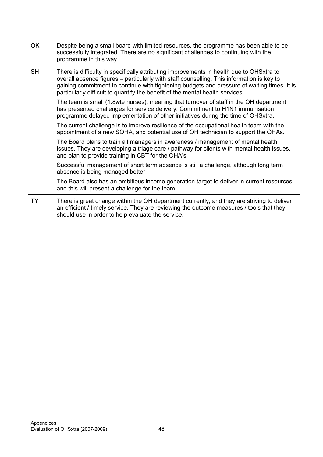| <b>OK</b> | Despite being a small board with limited resources, the programme has been able to be<br>successfully integrated. There are no significant challenges to continuing with the<br>programme in this way.                                                                                                                                                                |
|-----------|-----------------------------------------------------------------------------------------------------------------------------------------------------------------------------------------------------------------------------------------------------------------------------------------------------------------------------------------------------------------------|
| <b>SH</b> | There is difficulty in specifically attributing improvements in health due to OHSxtra to<br>overall absence figures – particularly with staff counselling. This information is key to<br>gaining commitment to continue with tightening budgets and pressure of waiting times. It is<br>particularly difficult to quantify the benefit of the mental health services. |
|           | The team is small (1.8 wte nurses), meaning that turnover of staff in the OH department<br>has presented challenges for service delivery. Commitment to H1N1 immunisation<br>programme delayed implementation of other initiatives during the time of OHSxtra.                                                                                                        |
|           | The current challenge is to improve resilience of the occupational health team with the<br>appointment of a new SOHA, and potential use of OH technician to support the OHAs.                                                                                                                                                                                         |
|           | The Board plans to train all managers in awareness / management of mental health<br>issues. They are developing a triage care / pathway for clients with mental health issues,<br>and plan to provide training in CBT for the OHA's.                                                                                                                                  |
|           | Successful management of short term absence is still a challenge, although long term<br>absence is being managed better.                                                                                                                                                                                                                                              |
|           | The Board also has an ambitious income generation target to deliver in current resources,<br>and this will present a challenge for the team.                                                                                                                                                                                                                          |
| <b>TY</b> | There is great change within the OH department currently, and they are striving to deliver<br>an efficient / timely service. They are reviewing the outcome measures / tools that they<br>should use in order to help evaluate the service.                                                                                                                           |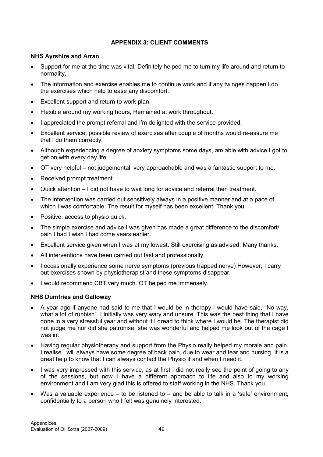### APPENDIX 3: CLIENT COMMENTS

#### NHS Ayrshire and Arran

- Support for me at the time was vital. Definitely helped me to turn my life around and return to normality.
- The information and exercise enables me to continue work and if any twinges happen I do the exercises which help to ease any discomfort.
- Excellent support and return to work plan.
- Flexible around my working hours, Remained at work throughout.
- I appreciated the prompt referral and I'm delighted with the service provided.
- Excellent service; possible review of exercises after couple of months would re-assure me that I do them correctly.
- Although experiencing a degree of anxiety symptoms some days, am able with advice I got to get on with every day life.
- OT very helpful not judgemental, very approachable and was a fantastic support to me.
- Received prompt treatment.
- Quick attention I did not have to wait long for advice and referral then treatment.
- The intervention was carried out sensitively always in a positive manner and at a pace of which I was comfortable. The result for myself has been excellent. Thank you.
- Positive, access to physio quick.
- The simple exercise and advice I was given has made a great difference to the discomfort/ pain I had I wish I had come years earlier.
- Excellent service given when I was at my lowest. Still exercising as advised. Many thanks.
- All interventions have been carried out fast and professionally.
- I occasionally experience some nerve symptoms (previous trapped nerve) However, I carry out exercises shown by physiotherapist and these symptoms disappear.
- I would recommend CBT very much. OT helped me immensely.

#### NHS Dumfries and Galloway

- A year ago if anyone had said to me that I would be in therapy I would have said. "No way, what a lot of rubbish". I initially was very wary and unsure. This was the best thing that I have done in a very stressful year and without it I dread to think where I would be. The therapist did not judge me nor did she patronise, she was wonderful and helped me look out of the cage I was in.
- Having regular physiotherapy and support from the Physio really helped my morale and pain. I realise I will always have some degree of back pain, due to wear and tear and nursing. It is a great help to know that I can always contact the Physio if and when I need it.
- I was very impressed with this service, as at first I did not really see the point of going to any of the sessions, but now I have a different approach to life and also to my working environment and I am very glad this is offered to staff working in the NHS. Thank you.
- Was a valuable experience  $-$  to be listened to  $-$  and be able to talk in a 'safe' environment, confidentially to a person who I felt was genuinely interested.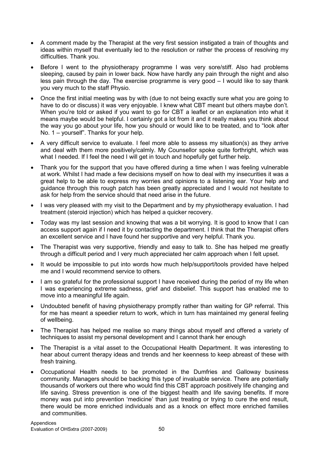- A comment made by the Therapist at the very first session instigated a train of thoughts and ideas within myself that eventually led to the resolution or rather the process of resolving my difficulties. Thank you.
- Before I went to the physiotherapy programme I was very sore/stiff. Also had problems sleeping, caused by pain in lower back. Now have hardly any pain through the night and also less pain through the day. The exercise programme is very good – I would like to say thank you very much to the staff Physio.
- Once the first initial meeting was by with (due to not being exactly sure what you are going to have to do or discuss) it was very enjoyable. I knew what CBT meant but others maybe don't. When you're told or asked if you want to go for CBT a leaflet or an explanation into what it means maybe would be helpful. I certainly got a lot from it and it really makes you think about the way you go about your life, how you should or would like to be treated, and to "look after No. 1 – yourself". Thanks for your help.
- A very difficult service to evaluate. I feel more able to assess my situation(s) as they arrive and deal with them more positively/calmly. My Counsellor spoke quite forthright, which was what I needed. If I feel the need I will get in touch and hopefully get further help.
- Thank you for the support that you have offered during a time when I was feeling vulnerable at work. Whilst I had made a few decisions myself on how to deal with my insecurities it was a great help to be able to express my worries and opinions to a listening ear. Your help and guidance through this rough patch has been greatly appreciated and I would not hesitate to ask for help from the service should that need arise in the future.
- I was very pleased with my visit to the Department and by my physiotherapy evaluation. I had treatment (steroid injection) which has helped a quicker recovery.
- Today was my last session and knowing that was a bit worrying. It is good to know that I can access support again if I need it by contacting the department. I think that the Therapist offers an excellent service and I have found her supportive and very helpful. Thank you.
- The Therapist was very supportive, friendly and easy to talk to. She has helped me greatly through a difficult period and I very much appreciated her calm approach when I felt upset.
- It would be impossible to put into words how much help/support/tools provided have helped me and I would recommend service to others.
- I am so grateful for the professional support I have received during the period of my life when I was experiencing extreme sadness, grief and disbelief. This support has enabled me to move into a meaningful life again.
- Undoubted benefit of having physiotherapy promptly rather than waiting for GP referral. This for me has meant a speedier return to work, which in turn has maintained my general feeling of wellbeing.
- The Therapist has helped me realise so many things about myself and offered a variety of techniques to assist my personal development and I cannot thank her enough
- The Therapist is a vital asset to the Occupational Health Department. It was interesting to hear about current therapy ideas and trends and her keenness to keep abreast of these with fresh training.
- Occupational Health needs to be promoted in the Dumfries and Galloway business community. Managers should be backing this type of invaluable service. There are potentially thousands of workers out there who would find this CBT approach positively life changing and life saving. Stress prevention is one of the biggest health and life saving benefits. If more money was put into prevention 'medicine' than just treating or trying to cure the end result, there would be more enriched individuals and as a knock on effect more enriched families and communities.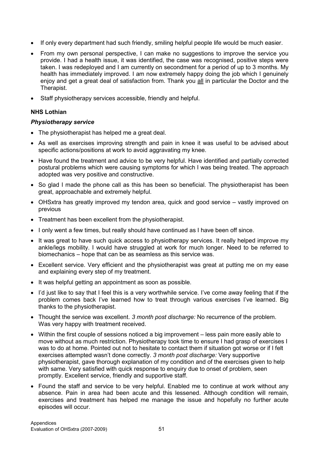- If only every department had such friendly, smiling helpful people life would be much easier.
- From my own personal perspective, I can make no suggestions to improve the service you provide. I had a health issue, it was identified, the case was recognised, positive steps were taken. I was redeployed and I am currently on secondment for a period of up to 3 months. My health has immediately improved. I am now extremely happy doing the job which I genuinely enjoy and get a great deal of satisfaction from. Thank you all in particular the Doctor and the Therapist.
- Staff physiotherapy services accessible, friendly and helpful.

### NHS Lothian

#### Physiotherapy service

- The physiotherapist has helped me a great deal.
- As well as exercises improving strength and pain in knee it was useful to be advised about specific actions/positions at work to avoid aggravating my knee.
- Have found the treatment and advice to be very helpful. Have identified and partially corrected postural problems which were causing symptoms for which I was being treated. The approach adopted was very positive and constructive.
- So glad I made the phone call as this has been so beneficial. The physiotherapist has been great, approachable and extremely helpful.
- OHSxtra has greatly improved my tendon area, quick and good service vastly improved on previous
- Treatment has been excellent from the physiotherapist.
- I only went a few times, but really should have continued as I have been off since.
- It was great to have such quick access to physiotherapy services. It really helped improve my ankle/legs mobility. I would have struggled at work for much longer. Need to be referred to biomechanics – hope that can be as seamless as this service was.
- Excellent service. Very efficient and the physiotherapist was great at putting me on my ease and explaining every step of my treatment.
- It was helpful getting an appointment as soon as possible.
- I'd just like to say that I feel this is a very worthwhile service. I've come away feeling that if the problem comes back I've learned how to treat through various exercises I've learned. Big thanks to the physiotherapist.
- Thought the service was excellent. 3 month post discharge: No recurrence of the problem. Was very happy with treatment received.
- Within the first couple of sessions noticed a big improvement less pain more easily able to move without as much restriction. Physiotherapy took time to ensure I had grasp of exercises I was to do at home. Pointed out not to hesitate to contact them if situation got worse or if I felt exercises attempted wasn't done correctly. 3 month post discharge: Very supportive physiotherapist, gave thorough explanation of my condition and of the exercises given to help with same. Very satisfied with quick response to enquiry due to onset of problem, seen promptly. Excellent service, friendly and supportive staff.
- Found the staff and service to be very helpful. Enabled me to continue at work without any absence. Pain in area had been acute and this lessened. Although condition will remain, exercises and treatment has helped me manage the issue and hopefully no further acute episodes will occur.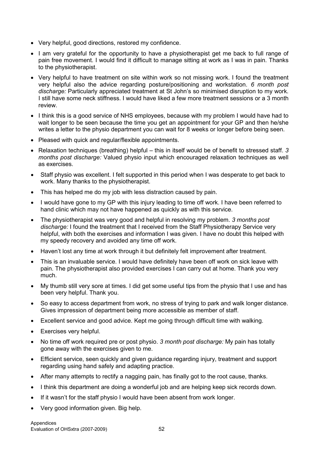- Very helpful, good directions, restored my confidence.
- I am very grateful for the opportunity to have a physiotherapist get me back to full range of pain free movement. I would find it difficult to manage sitting at work as I was in pain. Thanks to the physiotherapist.
- Very helpful to have treatment on site within work so not missing work. I found the treatment very helpful also the advice regarding posture/positioning and workstation. 6 month post discharge: Particularly appreciated treatment at St John's so minimised disruption to my work. I still have some neck stiffness. I would have liked a few more treatment sessions or a 3 month review.
- I think this is a good service of NHS employees, because with my problem I would have had to wait longer to be seen because the time you get an appointment for your GP and then he/she writes a letter to the physio department you can wait for 8 weeks or longer before being seen.
- Pleased with quick and regular/flexible appointments.
- Relaxation techniques (breathing) helpful this in itself would be of benefit to stressed staff. 3 months post discharge: Valued physio input which encouraged relaxation techniques as well as exercises.
- Staff physio was excellent. I felt supported in this period when I was desperate to get back to work. Many thanks to the physiotherapist.
- This has helped me do my job with less distraction caused by pain.
- I would have gone to my GP with this injury leading to time off work. I have been referred to hand clinic which may not have happened as quickly as with this service.
- The physiotherapist was very good and helpful in resolving my problem. 3 months post discharge: I found the treatment that I received from the Staff Physiotherapy Service very helpful, with both the exercises and information I was given. I have no doubt this helped with my speedy recovery and avoided any time off work.
- Haven't lost any time at work through it but definitely felt improvement after treatment.
- This is an invaluable service. I would have definitely have been off work on sick leave with pain. The physiotherapist also provided exercises I can carry out at home. Thank you very much.
- My thumb still very sore at times. I did get some useful tips from the physio that I use and has been very helpful. Thank you.
- So easy to access department from work, no stress of trying to park and walk longer distance. Gives impression of department being more accessible as member of staff.
- Excellent service and good advice. Kept me going through difficult time with walking.
- Exercises very helpful.
- No time off work required pre or post physio. 3 month post discharge: My pain has totally gone away with the exercises given to me.
- Efficient service, seen quickly and given guidance regarding injury, treatment and support regarding using hand safely and adapting practice.
- After many attempts to rectify a nagging pain, has finally got to the root cause, thanks.
- I think this department are doing a wonderful job and are helping keep sick records down.
- If it wasn't for the staff physio I would have been absent from work longer.
- Very good information given. Big help.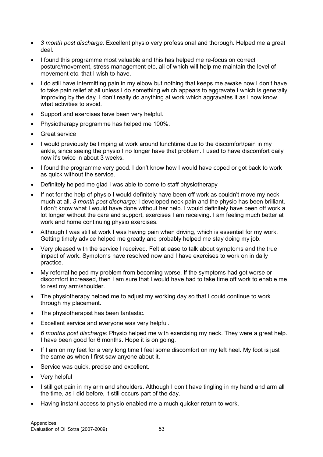- 3 month post discharge: Excellent physio very professional and thorough. Helped me a great deal.
- I found this programme most valuable and this has helped me re-focus on correct posture/movement, stress management etc, all of which will help me maintain the level of movement etc. that I wish to have.
- I do still have intermitting pain in my elbow but nothing that keeps me awake now I don't have to take pain relief at all unless I do something which appears to aggravate I which is generally improving by the day. I don't really do anything at work which aggravates it as I now know what activities to avoid.
- Support and exercises have been very helpful.
- Physiotherapy programme has helped me 100%.
- **Great service**
- I would previously be limping at work around lunchtime due to the discomfort/pain in my ankle, since seeing the physio I no longer have that problem. I used to have discomfort daily now it's twice in about 3 weeks.
- I found the programme very good. I don't know how I would have coped or got back to work as quick without the service.
- Definitely helped me glad I was able to come to staff physiotherapy
- If not for the help of physio I would definitely have been off work as couldn't move my neck much at all. 3 month post discharge: I developed neck pain and the physio has been brilliant. I don't know what I would have done without her help. I would definitely have been off work a lot longer without the care and support, exercises I am receiving. I am feeling much better at work and home continuing physio exercises.
- Although I was still at work I was having pain when driving, which is essential for my work. Getting timely advice helped me greatly and probably helped me stay doing my job.
- Very pleased with the service I received. Felt at ease to talk about symptoms and the true impact of work. Symptoms have resolved now and I have exercises to work on in daily practice.
- My referral helped my problem from becoming worse. If the symptoms had got worse or discomfort increased, then I am sure that I would have had to take time off work to enable me to rest my arm/shoulder.
- The physiotherapy helped me to adjust my working day so that I could continue to work through my placement.
- The physiotherapist has been fantastic.
- Excellent service and everyone was very helpful.
- 6 months post discharge: Physio helped me with exercising my neck. They were a great help. I have been good for 6 months. Hope it is on going.
- If I am on my feet for a very long time I feel some discomfort on my left heel. My foot is just the same as when I first saw anyone about it.
- Service was quick, precise and excellent.
- Very helpful
- I still get pain in my arm and shoulders. Although I don't have tingling in my hand and arm all the time, as I did before, it still occurs part of the day.
- Having instant access to physio enabled me a much quicker return to work.